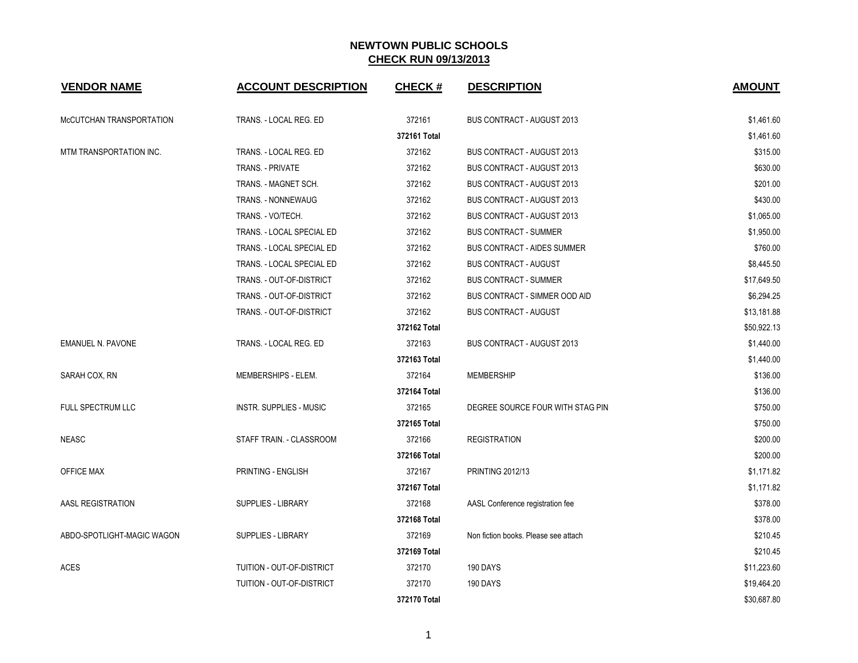| <b>VENDOR NAME</b>         | <b>ACCOUNT DESCRIPTION</b> | <b>CHECK#</b> | <b>DESCRIPTION</b>                   | <b>AMOUNT</b> |
|----------------------------|----------------------------|---------------|--------------------------------------|---------------|
| McCUTCHAN TRANSPORTATION   | TRANS. - LOCAL REG. ED     | 372161        | BUS CONTRACT - AUGUST 2013           | \$1,461.60    |
|                            |                            | 372161 Total  |                                      | \$1,461.60    |
| MTM TRANSPORTATION INC.    | TRANS. - LOCAL REG. ED     | 372162        | <b>BUS CONTRACT - AUGUST 2013</b>    | \$315.00      |
|                            | TRANS. - PRIVATE           | 372162        | <b>BUS CONTRACT - AUGUST 2013</b>    | \$630.00      |
|                            | TRANS. - MAGNET SCH.       | 372162        | <b>BUS CONTRACT - AUGUST 2013</b>    | \$201.00      |
|                            | TRANS. - NONNEWAUG         | 372162        | <b>BUS CONTRACT - AUGUST 2013</b>    | \$430.00      |
|                            | TRANS. - VO/TECH.          | 372162        | BUS CONTRACT - AUGUST 2013           | \$1,065.00    |
|                            | TRANS. - LOCAL SPECIAL ED  | 372162        | <b>BUS CONTRACT - SUMMER</b>         | \$1,950.00    |
|                            | TRANS. - LOCAL SPECIAL ED  | 372162        | <b>BUS CONTRACT - AIDES SUMMER</b>   | \$760.00      |
|                            | TRANS. - LOCAL SPECIAL ED  | 372162        | <b>BUS CONTRACT - AUGUST</b>         | \$8,445.50    |
|                            | TRANS. - OUT-OF-DISTRICT   | 372162        | <b>BUS CONTRACT - SUMMER</b>         | \$17,649.50   |
|                            | TRANS. - OUT-OF-DISTRICT   | 372162        | <b>BUS CONTRACT - SIMMER OOD AID</b> | \$6,294.25    |
|                            | TRANS. - OUT-OF-DISTRICT   | 372162        | <b>BUS CONTRACT - AUGUST</b>         | \$13,181.88   |
|                            |                            | 372162 Total  |                                      | \$50,922.13   |
| <b>EMANUEL N. PAVONE</b>   | TRANS. - LOCAL REG. ED     | 372163        | <b>BUS CONTRACT - AUGUST 2013</b>    | \$1,440.00    |
|                            |                            | 372163 Total  |                                      | \$1,440.00    |
| SARAH COX, RN              | MEMBERSHIPS - ELEM.        | 372164        | <b>MEMBERSHIP</b>                    | \$136.00      |
|                            |                            | 372164 Total  |                                      | \$136.00      |
| FULL SPECTRUM LLC          | INSTR. SUPPLIES - MUSIC    | 372165        | DEGREE SOURCE FOUR WITH STAG PIN     | \$750.00      |
|                            |                            | 372165 Total  |                                      | \$750.00      |
| <b>NEASC</b>               | STAFF TRAIN. - CLASSROOM   | 372166        | <b>REGISTRATION</b>                  | \$200.00      |
|                            |                            | 372166 Total  |                                      | \$200.00      |
| <b>OFFICE MAX</b>          | PRINTING - ENGLISH         | 372167        | <b>PRINTING 2012/13</b>              | \$1,171.82    |
|                            |                            | 372167 Total  |                                      | \$1,171.82    |
| AASL REGISTRATION          | <b>SUPPLIES - LIBRARY</b>  | 372168        | AASL Conference registration fee     | \$378.00      |
|                            |                            | 372168 Total  |                                      | \$378.00      |
| ABDO-SPOTLIGHT-MAGIC WAGON | <b>SUPPLIES - LIBRARY</b>  | 372169        | Non fiction books. Please see attach | \$210.45      |
|                            |                            | 372169 Total  |                                      | \$210.45      |
| <b>ACES</b>                | TUITION - OUT-OF-DISTRICT  | 372170        | 190 DAYS                             | \$11,223.60   |
|                            | TUITION - OUT-OF-DISTRICT  | 372170        | 190 DAYS                             | \$19,464.20   |
|                            |                            | 372170 Total  |                                      | \$30,687.80   |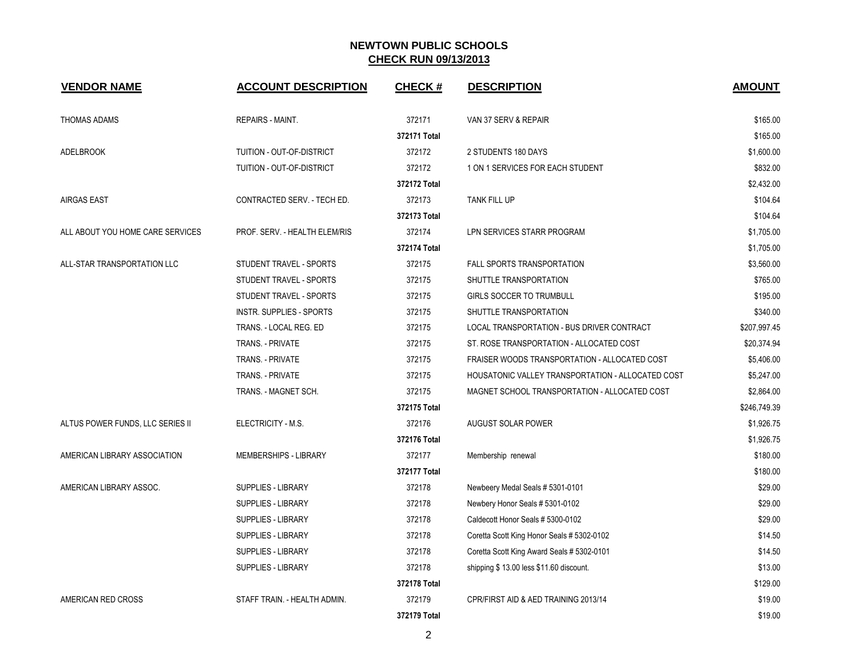| <b>VENDOR NAME</b>               | <b>ACCOUNT DESCRIPTION</b>    | <b>CHECK#</b> | <b>DESCRIPTION</b>                                | <b>AMOUNT</b> |
|----------------------------------|-------------------------------|---------------|---------------------------------------------------|---------------|
| <b>THOMAS ADAMS</b>              | REPAIRS - MAINT.              | 372171        | VAN 37 SERV & REPAIR                              | \$165.00      |
|                                  |                               | 372171 Total  |                                                   | \$165.00      |
| <b>ADELBROOK</b>                 | TUITION - OUT-OF-DISTRICT     | 372172        | 2 STUDENTS 180 DAYS                               | \$1,600.00    |
|                                  | TUITION - OUT-OF-DISTRICT     | 372172        | 1 ON 1 SERVICES FOR EACH STUDENT                  | \$832.00      |
|                                  |                               | 372172 Total  |                                                   | \$2,432.00    |
| <b>AIRGAS EAST</b>               | CONTRACTED SERV. - TECH ED.   | 372173        | TANK FILL UP                                      | \$104.64      |
|                                  |                               | 372173 Total  |                                                   | \$104.64      |
| ALL ABOUT YOU HOME CARE SERVICES | PROF. SERV. - HEALTH ELEM/RIS | 372174        | LPN SERVICES STARR PROGRAM                        | \$1,705.00    |
|                                  |                               | 372174 Total  |                                                   | \$1,705.00    |
| ALL-STAR TRANSPORTATION LLC      | STUDENT TRAVEL - SPORTS       | 372175        | <b>FALL SPORTS TRANSPORTATION</b>                 | \$3,560.00    |
|                                  | STUDENT TRAVEL - SPORTS       | 372175        | SHUTTLE TRANSPORTATION                            | \$765.00      |
|                                  | STUDENT TRAVEL - SPORTS       | 372175        | <b>GIRLS SOCCER TO TRUMBULL</b>                   | \$195.00      |
|                                  | INSTR. SUPPLIES - SPORTS      | 372175        | SHUTTLE TRANSPORTATION                            | \$340.00      |
|                                  | TRANS. - LOCAL REG. ED        | 372175        | LOCAL TRANSPORTATION - BUS DRIVER CONTRACT        | \$207,997.45  |
|                                  | TRANS. - PRIVATE              | 372175        | ST. ROSE TRANSPORTATION - ALLOCATED COST          | \$20,374.94   |
|                                  | TRANS. - PRIVATE              | 372175        | FRAISER WOODS TRANSPORTATION - ALLOCATED COST     | \$5,406.00    |
|                                  | TRANS. - PRIVATE              | 372175        | HOUSATONIC VALLEY TRANSPORTATION - ALLOCATED COST | \$5,247.00    |
|                                  | TRANS. - MAGNET SCH.          | 372175        | MAGNET SCHOOL TRANSPORTATION - ALLOCATED COST     | \$2,864.00    |
|                                  |                               | 372175 Total  |                                                   | \$246,749.39  |
| ALTUS POWER FUNDS, LLC SERIES II | ELECTRICITY - M.S.            | 372176        | <b>AUGUST SOLAR POWER</b>                         | \$1,926.75    |
|                                  |                               | 372176 Total  |                                                   | \$1,926.75    |
| AMERICAN LIBRARY ASSOCIATION     | MEMBERSHIPS - LIBRARY         | 372177        | Membership renewal                                | \$180.00      |
|                                  |                               | 372177 Total  |                                                   | \$180.00      |
| AMERICAN LIBRARY ASSOC.          | <b>SUPPLIES - LIBRARY</b>     | 372178        | Newbeery Medal Seals # 5301-0101                  | \$29.00       |
|                                  | <b>SUPPLIES - LIBRARY</b>     | 372178        | Newbery Honor Seals # 5301-0102                   | \$29.00       |
|                                  | <b>SUPPLIES - LIBRARY</b>     | 372178        | Caldecott Honor Seals # 5300-0102                 | \$29.00       |
|                                  | SUPPLIES - LIBRARY            | 372178        | Coretta Scott King Honor Seals # 5302-0102        | \$14.50       |
|                                  | <b>SUPPLIES - LIBRARY</b>     | 372178        | Coretta Scott King Award Seals # 5302-0101        | \$14.50       |
|                                  | <b>SUPPLIES - LIBRARY</b>     | 372178        | shipping \$13.00 less \$11.60 discount.           | \$13.00       |
|                                  |                               | 372178 Total  |                                                   | \$129.00      |
| AMERICAN RED CROSS               | STAFF TRAIN. - HEALTH ADMIN.  | 372179        | CPR/FIRST AID & AED TRAINING 2013/14              | \$19.00       |
|                                  |                               | 372179 Total  |                                                   | \$19.00       |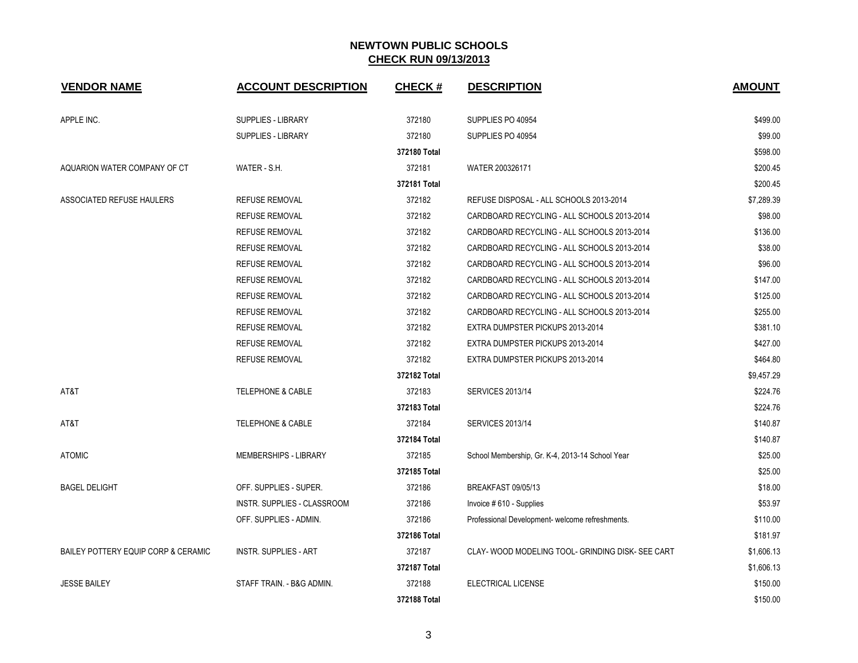| <b>VENDOR NAME</b>                  | <b>ACCOUNT DESCRIPTION</b>   | <b>CHECK#</b> | <b>DESCRIPTION</b>                                | <b>AMOUNT</b> |
|-------------------------------------|------------------------------|---------------|---------------------------------------------------|---------------|
| APPLE INC.                          | <b>SUPPLIES - LIBRARY</b>    | 372180        | SUPPLIES PO 40954                                 | \$499.00      |
|                                     | <b>SUPPLIES - LIBRARY</b>    | 372180        | SUPPLIES PO 40954                                 | \$99.00       |
|                                     |                              | 372180 Total  |                                                   | \$598.00      |
| AQUARION WATER COMPANY OF CT        | WATER - S.H.                 | 372181        | WATER 200326171                                   | \$200.45      |
|                                     |                              | 372181 Total  |                                                   | \$200.45      |
| ASSOCIATED REFUSE HAULERS           | REFUSE REMOVAL               | 372182        | REFUSE DISPOSAL - ALL SCHOOLS 2013-2014           | \$7,289.39    |
|                                     | <b>REFUSE REMOVAL</b>        | 372182        | CARDBOARD RECYCLING - ALL SCHOOLS 2013-2014       | \$98.00       |
|                                     | <b>REFUSE REMOVAL</b>        | 372182        | CARDBOARD RECYCLING - ALL SCHOOLS 2013-2014       | \$136.00      |
|                                     | <b>REFUSE REMOVAL</b>        | 372182        | CARDBOARD RECYCLING - ALL SCHOOLS 2013-2014       | \$38.00       |
|                                     | <b>REFUSE REMOVAL</b>        | 372182        | CARDBOARD RECYCLING - ALL SCHOOLS 2013-2014       | \$96.00       |
|                                     | <b>REFUSE REMOVAL</b>        | 372182        | CARDBOARD RECYCLING - ALL SCHOOLS 2013-2014       | \$147.00      |
|                                     | <b>REFUSE REMOVAL</b>        | 372182        | CARDBOARD RECYCLING - ALL SCHOOLS 2013-2014       | \$125.00      |
|                                     | <b>REFUSE REMOVAL</b>        | 372182        | CARDBOARD RECYCLING - ALL SCHOOLS 2013-2014       | \$255.00      |
|                                     | <b>REFUSE REMOVAL</b>        | 372182        | EXTRA DUMPSTER PICKUPS 2013-2014                  | \$381.10      |
|                                     | <b>REFUSE REMOVAL</b>        | 372182        | EXTRA DUMPSTER PICKUPS 2013-2014                  | \$427.00      |
|                                     | <b>REFUSE REMOVAL</b>        | 372182        | EXTRA DUMPSTER PICKUPS 2013-2014                  | \$464.80      |
|                                     |                              | 372182 Total  |                                                   | \$9,457.29    |
| AT&T                                | <b>TELEPHONE &amp; CABLE</b> | 372183        | <b>SERVICES 2013/14</b>                           | \$224.76      |
|                                     |                              | 372183 Total  |                                                   | \$224.76      |
| AT&T                                | <b>TELEPHONE &amp; CABLE</b> | 372184        | <b>SERVICES 2013/14</b>                           | \$140.87      |
|                                     |                              | 372184 Total  |                                                   | \$140.87      |
| <b>ATOMIC</b>                       | <b>MEMBERSHIPS - LIBRARY</b> | 372185        | School Membership, Gr. K-4, 2013-14 School Year   | \$25.00       |
|                                     |                              | 372185 Total  |                                                   | \$25.00       |
| <b>BAGEL DELIGHT</b>                | OFF. SUPPLIES - SUPER.       | 372186        | BREAKFAST 09/05/13                                | \$18.00       |
|                                     | INSTR. SUPPLIES - CLASSROOM  | 372186        | Invoice #610 - Supplies                           | \$53.97       |
|                                     | OFF. SUPPLIES - ADMIN.       | 372186        | Professional Development- welcome refreshments.   | \$110.00      |
|                                     |                              | 372186 Total  |                                                   | \$181.97      |
| BAILEY POTTERY EQUIP CORP & CERAMIC | <b>INSTR. SUPPLIES - ART</b> | 372187        | CLAY- WOOD MODELING TOOL- GRINDING DISK- SEE CART | \$1,606.13    |
|                                     |                              | 372187 Total  |                                                   | \$1,606.13    |
| <b>JESSE BAILEY</b>                 | STAFF TRAIN. - B&G ADMIN.    | 372188        | ELECTRICAL LICENSE                                | \$150.00      |
|                                     |                              | 372188 Total  |                                                   | \$150.00      |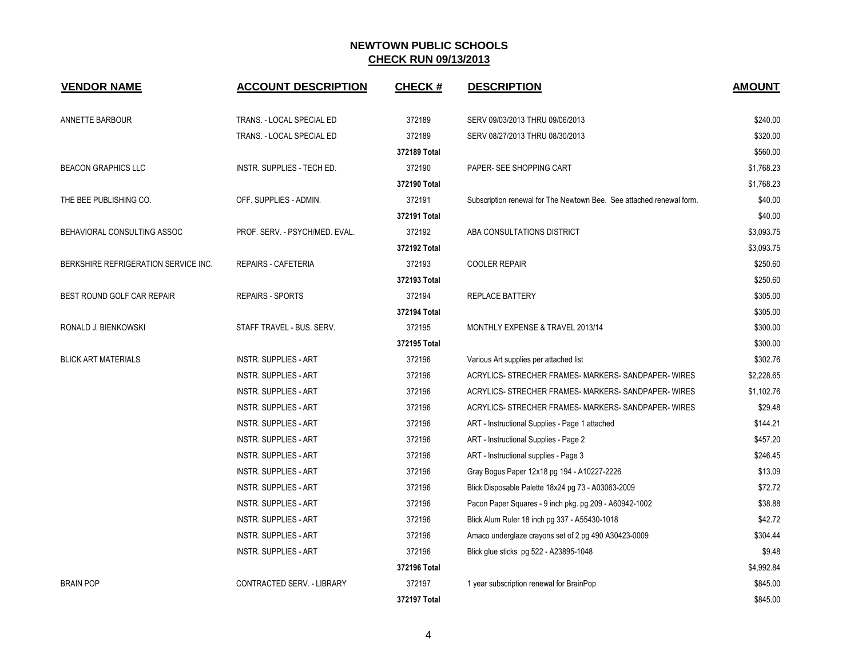| <b>VENDOR NAME</b>                   | <b>ACCOUNT DESCRIPTION</b>     | <b>CHECK#</b> | <b>DESCRIPTION</b>                                                   | <b>AMOUNT</b> |
|--------------------------------------|--------------------------------|---------------|----------------------------------------------------------------------|---------------|
| ANNETTE BARBOUR                      | TRANS. - LOCAL SPECIAL ED      | 372189        | SERV 09/03/2013 THRU 09/06/2013                                      | \$240.00      |
|                                      | TRANS. - LOCAL SPECIAL ED      | 372189        | SERV 08/27/2013 THRU 08/30/2013                                      | \$320.00      |
|                                      |                                | 372189 Total  |                                                                      | \$560.00      |
| <b>BEACON GRAPHICS LLC</b>           | INSTR. SUPPLIES - TECH ED.     | 372190        | PAPER- SEE SHOPPING CART                                             | \$1,768.23    |
|                                      |                                | 372190 Total  |                                                                      | \$1,768.23    |
| THE BEE PUBLISHING CO.               | OFF. SUPPLIES - ADMIN.         | 372191        | Subscription renewal for The Newtown Bee. See attached renewal form. | \$40.00       |
|                                      |                                | 372191 Total  |                                                                      | \$40.00       |
| BEHAVIORAL CONSULTING ASSOC          | PROF. SERV. - PSYCH/MED. EVAL. | 372192        | ABA CONSULTATIONS DISTRICT                                           | \$3,093.75    |
|                                      |                                | 372192 Total  |                                                                      | \$3,093.75    |
| BERKSHIRE REFRIGERATION SERVICE INC. | REPAIRS - CAFETERIA            | 372193        | <b>COOLER REPAIR</b>                                                 | \$250.60      |
|                                      |                                | 372193 Total  |                                                                      | \$250.60      |
| BEST ROUND GOLF CAR REPAIR           | <b>REPAIRS - SPORTS</b>        | 372194        | REPLACE BATTERY                                                      | \$305.00      |
|                                      |                                | 372194 Total  |                                                                      | \$305.00      |
| RONALD J. BIENKOWSKI                 | STAFF TRAVEL - BUS. SERV.      | 372195        | MONTHLY EXPENSE & TRAVEL 2013/14                                     | \$300.00      |
|                                      |                                | 372195 Total  |                                                                      | \$300.00      |
| <b>BLICK ART MATERIALS</b>           | <b>INSTR. SUPPLIES - ART</b>   | 372196        | Various Art supplies per attached list                               | \$302.76      |
|                                      | <b>INSTR. SUPPLIES - ART</b>   | 372196        | ACRYLICS- STRECHER FRAMES- MARKERS- SANDPAPER- WIRES                 | \$2,228.65    |
|                                      | <b>INSTR. SUPPLIES - ART</b>   | 372196        | ACRYLICS- STRECHER FRAMES- MARKERS- SANDPAPER- WIRES                 | \$1,102.76    |
|                                      | <b>INSTR. SUPPLIES - ART</b>   | 372196        | ACRYLICS- STRECHER FRAMES- MARKERS- SANDPAPER- WIRES                 | \$29.48       |
|                                      | <b>INSTR. SUPPLIES - ART</b>   | 372196        | ART - Instructional Supplies - Page 1 attached                       | \$144.21      |
|                                      | <b>INSTR. SUPPLIES - ART</b>   | 372196        | ART - Instructional Supplies - Page 2                                | \$457.20      |
|                                      | <b>INSTR. SUPPLIES - ART</b>   | 372196        | ART - Instructional supplies - Page 3                                | \$246.45      |
|                                      | <b>INSTR. SUPPLIES - ART</b>   | 372196        | Gray Bogus Paper 12x18 pg 194 - A10227-2226                          | \$13.09       |
|                                      | <b>INSTR. SUPPLIES - ART</b>   | 372196        | Blick Disposable Palette 18x24 pg 73 - A03063-2009                   | \$72.72       |
|                                      | <b>INSTR. SUPPLIES - ART</b>   | 372196        | Pacon Paper Squares - 9 inch pkg. pg 209 - A60942-1002               | \$38.88       |
|                                      | <b>INSTR. SUPPLIES - ART</b>   | 372196        | Blick Alum Ruler 18 inch pg 337 - A55430-1018                        | \$42.72       |
|                                      | <b>INSTR. SUPPLIES - ART</b>   | 372196        | Amaco underglaze crayons set of 2 pg 490 A30423-0009                 | \$304.44      |
|                                      | <b>INSTR. SUPPLIES - ART</b>   | 372196        | Blick glue sticks pg 522 - A23895-1048                               | \$9.48        |
|                                      |                                | 372196 Total  |                                                                      | \$4,992.84    |
| <b>BRAIN POP</b>                     | CONTRACTED SERV. - LIBRARY     | 372197        | 1 year subscription renewal for BrainPop                             | \$845.00      |
|                                      |                                | 372197 Total  |                                                                      | \$845.00      |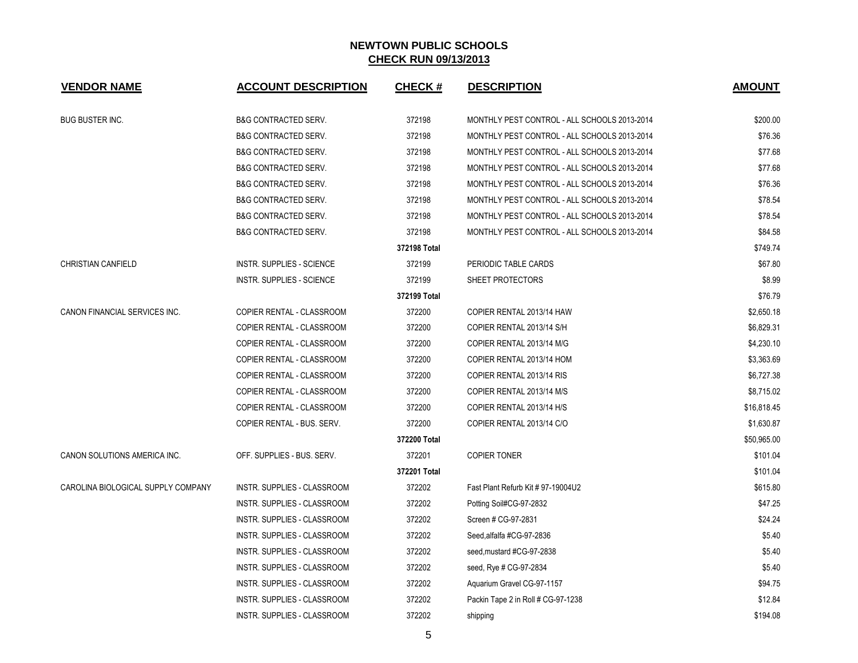| <b>VENDOR NAME</b>                 | <b>ACCOUNT DESCRIPTION</b>      | <b>CHECK#</b> | <b>DESCRIPTION</b>                           | <b>AMOUNT</b> |
|------------------------------------|---------------------------------|---------------|----------------------------------------------|---------------|
| <b>BUG BUSTER INC.</b>             | <b>B&amp;G CONTRACTED SERV.</b> | 372198        | MONTHLY PEST CONTROL - ALL SCHOOLS 2013-2014 | \$200.00      |
|                                    | <b>B&amp;G CONTRACTED SERV.</b> | 372198        | MONTHLY PEST CONTROL - ALL SCHOOLS 2013-2014 | \$76.36       |
|                                    | B&G CONTRACTED SERV.            | 372198        | MONTHLY PEST CONTROL - ALL SCHOOLS 2013-2014 | \$77.68       |
|                                    | <b>B&amp;G CONTRACTED SERV.</b> | 372198        | MONTHLY PEST CONTROL - ALL SCHOOLS 2013-2014 | \$77.68       |
|                                    | <b>B&amp;G CONTRACTED SERV.</b> | 372198        | MONTHLY PEST CONTROL - ALL SCHOOLS 2013-2014 | \$76.36       |
|                                    | <b>B&amp;G CONTRACTED SERV.</b> | 372198        | MONTHLY PEST CONTROL - ALL SCHOOLS 2013-2014 | \$78.54       |
|                                    | <b>B&amp;G CONTRACTED SERV.</b> | 372198        | MONTHLY PEST CONTROL - ALL SCHOOLS 2013-2014 | \$78.54       |
|                                    | <b>B&amp;G CONTRACTED SERV.</b> | 372198        | MONTHLY PEST CONTROL - ALL SCHOOLS 2013-2014 | \$84.58       |
|                                    |                                 | 372198 Total  |                                              | \$749.74      |
| <b>CHRISTIAN CANFIELD</b>          | INSTR. SUPPLIES - SCIENCE       | 372199        | PERIODIC TABLE CARDS                         | \$67.80       |
|                                    | INSTR. SUPPLIES - SCIENCE       | 372199        | SHEET PROTECTORS                             | \$8.99        |
|                                    |                                 | 372199 Total  |                                              | \$76.79       |
| CANON FINANCIAL SERVICES INC.      | COPIER RENTAL - CLASSROOM       | 372200        | COPIER RENTAL 2013/14 HAW                    | \$2,650.18    |
|                                    | COPIER RENTAL - CLASSROOM       | 372200        | COPIER RENTAL 2013/14 S/H                    | \$6,829.31    |
|                                    | COPIER RENTAL - CLASSROOM       | 372200        | COPIER RENTAL 2013/14 M/G                    | \$4,230.10    |
|                                    | COPIER RENTAL - CLASSROOM       | 372200        | COPIER RENTAL 2013/14 HOM                    | \$3,363.69    |
|                                    | COPIER RENTAL - CLASSROOM       | 372200        | COPIER RENTAL 2013/14 RIS                    | \$6,727.38    |
|                                    | COPIER RENTAL - CLASSROOM       | 372200        | COPIER RENTAL 2013/14 M/S                    | \$8,715.02    |
|                                    | COPIER RENTAL - CLASSROOM       | 372200        | COPIER RENTAL 2013/14 H/S                    | \$16,818.45   |
|                                    | COPIER RENTAL - BUS. SERV.      | 372200        | COPIER RENTAL 2013/14 C/O                    | \$1,630.87    |
|                                    |                                 | 372200 Total  |                                              | \$50,965.00   |
| CANON SOLUTIONS AMERICA INC.       | OFF. SUPPLIES - BUS. SERV.      | 372201        | <b>COPIER TONER</b>                          | \$101.04      |
|                                    |                                 | 372201 Total  |                                              | \$101.04      |
| CAROLINA BIOLOGICAL SUPPLY COMPANY | INSTR. SUPPLIES - CLASSROOM     | 372202        | Fast Plant Refurb Kit # 97-19004U2           | \$615.80      |
|                                    | INSTR. SUPPLIES - CLASSROOM     | 372202        | Potting Soil#CG-97-2832                      | \$47.25       |
|                                    | INSTR. SUPPLIES - CLASSROOM     | 372202        | Screen # CG-97-2831                          | \$24.24       |
|                                    | INSTR. SUPPLIES - CLASSROOM     | 372202        | Seed, alfalfa #CG-97-2836                    | \$5.40        |
|                                    | INSTR. SUPPLIES - CLASSROOM     | 372202        | seed, mustard #CG-97-2838                    | \$5.40        |
|                                    | INSTR. SUPPLIES - CLASSROOM     | 372202        | seed, Rye # CG-97-2834                       | \$5.40        |
|                                    | INSTR. SUPPLIES - CLASSROOM     | 372202        | Aquarium Gravel CG-97-1157                   | \$94.75       |
|                                    | INSTR. SUPPLIES - CLASSROOM     | 372202        | Packin Tape 2 in Roll # CG-97-1238           | \$12.84       |
|                                    | INSTR. SUPPLIES - CLASSROOM     | 372202        | shipping                                     | \$194.08      |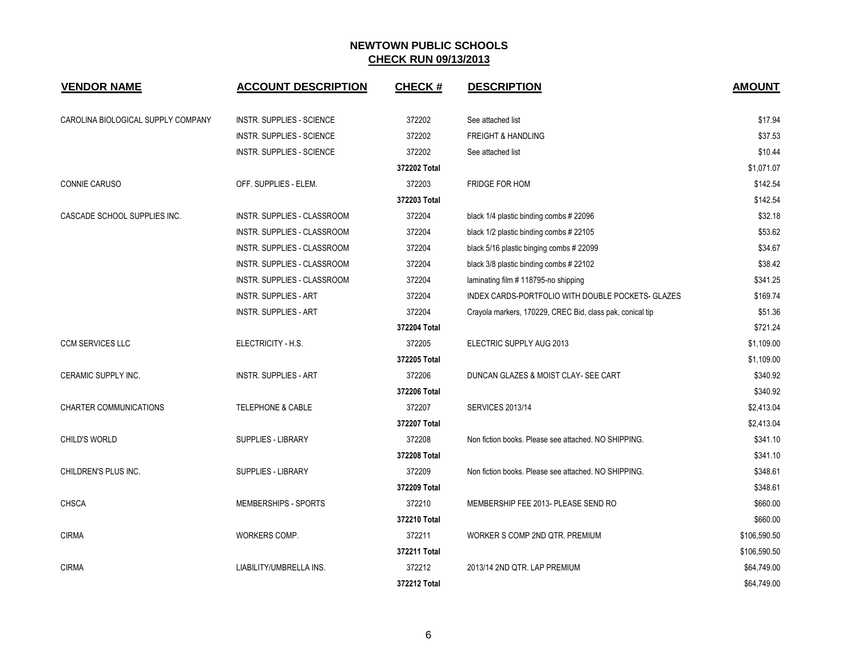| <b>VENDOR NAME</b>                 | <b>ACCOUNT DESCRIPTION</b>         | <b>CHECK#</b> | <b>DESCRIPTION</b>                                        | <b>AMOUNT</b> |
|------------------------------------|------------------------------------|---------------|-----------------------------------------------------------|---------------|
| CAROLINA BIOLOGICAL SUPPLY COMPANY | <b>INSTR. SUPPLIES - SCIENCE</b>   | 372202        | See attached list                                         | \$17.94       |
|                                    | INSTR. SUPPLIES - SCIENCE          | 372202        | <b>FREIGHT &amp; HANDLING</b>                             | \$37.53       |
|                                    | <b>INSTR. SUPPLIES - SCIENCE</b>   | 372202        | See attached list                                         | \$10.44       |
|                                    |                                    | 372202 Total  |                                                           | \$1,071.07    |
| CONNIE CARUSO                      | OFF. SUPPLIES - ELEM.              | 372203        | FRIDGE FOR HOM                                            | \$142.54      |
|                                    |                                    | 372203 Total  |                                                           | \$142.54      |
| CASCADE SCHOOL SUPPLIES INC.       | INSTR. SUPPLIES - CLASSROOM        | 372204        | black 1/4 plastic binding combs # 22096                   | \$32.18       |
|                                    | INSTR. SUPPLIES - CLASSROOM        | 372204        | black 1/2 plastic binding combs # 22105                   | \$53.62       |
|                                    | <b>INSTR. SUPPLIES - CLASSROOM</b> | 372204        | black 5/16 plastic binging combs # 22099                  | \$34.67       |
|                                    | INSTR. SUPPLIES - CLASSROOM        | 372204        | black 3/8 plastic binding combs #22102                    | \$38.42       |
|                                    | <b>INSTR. SUPPLIES - CLASSROOM</b> | 372204        | laminating film #118795-no shipping                       | \$341.25      |
|                                    | <b>INSTR. SUPPLIES - ART</b>       | 372204        | INDEX CARDS-PORTFOLIO WITH DOUBLE POCKETS- GLAZES         | \$169.74      |
|                                    | <b>INSTR. SUPPLIES - ART</b>       | 372204        | Crayola markers, 170229, CREC Bid, class pak, conical tip | \$51.36       |
|                                    |                                    | 372204 Total  |                                                           | \$721.24      |
| <b>CCM SERVICES LLC</b>            | ELECTRICITY - H.S.                 | 372205        | ELECTRIC SUPPLY AUG 2013                                  | \$1,109.00    |
|                                    |                                    | 372205 Total  |                                                           | \$1,109.00    |
| CERAMIC SUPPLY INC.                | <b>INSTR. SUPPLIES - ART</b>       | 372206        | DUNCAN GLAZES & MOIST CLAY- SEE CART                      | \$340.92      |
|                                    |                                    | 372206 Total  |                                                           | \$340.92      |
| <b>CHARTER COMMUNICATIONS</b>      | <b>TELEPHONE &amp; CABLE</b>       | 372207        | <b>SERVICES 2013/14</b>                                   | \$2,413.04    |
|                                    |                                    | 372207 Total  |                                                           | \$2,413.04    |
| <b>CHILD'S WORLD</b>               | <b>SUPPLIES - LIBRARY</b>          | 372208        | Non fiction books. Please see attached. NO SHIPPING.      | \$341.10      |
|                                    |                                    | 372208 Total  |                                                           | \$341.10      |
| CHILDREN'S PLUS INC.               | SUPPLIES - LIBRARY                 | 372209        | Non fiction books. Please see attached. NO SHIPPING.      | \$348.61      |
|                                    |                                    | 372209 Total  |                                                           | \$348.61      |
| <b>CHSCA</b>                       | MEMBERSHIPS - SPORTS               | 372210        | MEMBERSHIP FEE 2013- PLEASE SEND RO                       | \$660.00      |
|                                    |                                    | 372210 Total  |                                                           | \$660.00      |
| <b>CIRMA</b>                       | WORKERS COMP.                      | 372211        | WORKER S COMP 2ND QTR. PREMIUM                            | \$106,590.50  |
|                                    |                                    | 372211 Total  |                                                           | \$106,590.50  |
| <b>CIRMA</b>                       | LIABILITY/UMBRELLA INS.            | 372212        | 2013/14 2ND QTR. LAP PREMIUM                              | \$64,749.00   |
|                                    |                                    | 372212 Total  |                                                           | \$64,749.00   |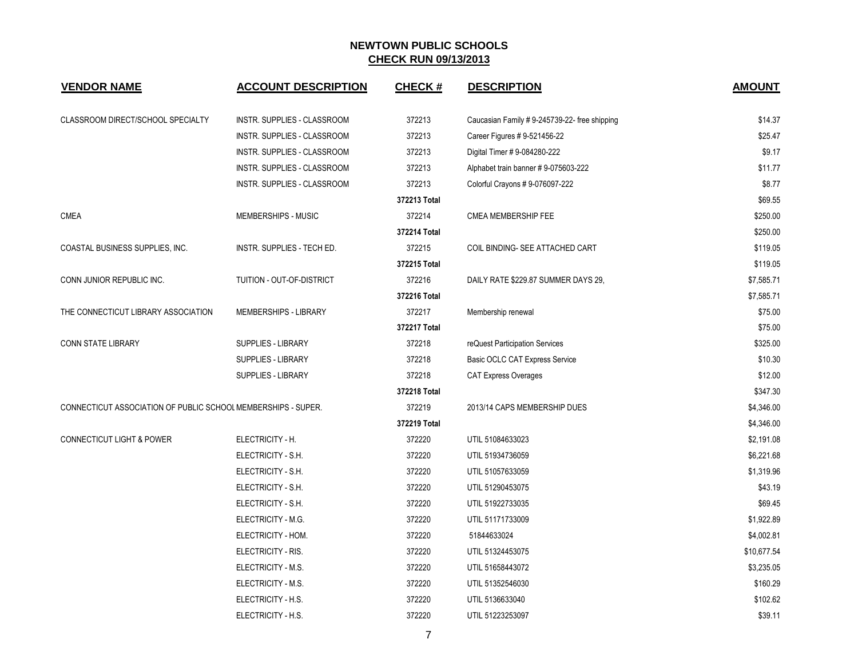| <b>VENDOR NAME</b>                                            | <b>ACCOUNT DESCRIPTION</b>  | <b>CHECK#</b> | <b>DESCRIPTION</b>                            | <b>AMOUNT</b> |
|---------------------------------------------------------------|-----------------------------|---------------|-----------------------------------------------|---------------|
| CLASSROOM DIRECT/SCHOOL SPECIALTY                             | INSTR. SUPPLIES - CLASSROOM | 372213        | Caucasian Family # 9-245739-22- free shipping | \$14.37       |
|                                                               | INSTR. SUPPLIES - CLASSROOM | 372213        | Career Figures # 9-521456-22                  | \$25.47       |
|                                                               | INSTR. SUPPLIES - CLASSROOM | 372213        | Digital Timer #9-084280-222                   | \$9.17        |
|                                                               | INSTR. SUPPLIES - CLASSROOM | 372213        | Alphabet train banner #9-075603-222           | \$11.77       |
|                                                               | INSTR. SUPPLIES - CLASSROOM | 372213        | Colorful Crayons # 9-076097-222               | \$8.77        |
|                                                               |                             | 372213 Total  |                                               | \$69.55       |
| <b>CMEA</b>                                                   | MEMBERSHIPS - MUSIC         | 372214        | CMEA MEMBERSHIP FEE                           | \$250.00      |
|                                                               |                             | 372214 Total  |                                               | \$250.00      |
| COASTAL BUSINESS SUPPLIES, INC.                               | INSTR. SUPPLIES - TECH ED.  | 372215        | COIL BINDING- SEE ATTACHED CART               | \$119.05      |
|                                                               |                             | 372215 Total  |                                               | \$119.05      |
| CONN JUNIOR REPUBLIC INC.                                     | TUITION - OUT-OF-DISTRICT   | 372216        | DAILY RATE \$229.87 SUMMER DAYS 29,           | \$7,585.71    |
|                                                               |                             | 372216 Total  |                                               | \$7,585.71    |
| THE CONNECTICUT LIBRARY ASSOCIATION                           | MEMBERSHIPS - LIBRARY       | 372217        | Membership renewal                            | \$75.00       |
|                                                               |                             | 372217 Total  |                                               | \$75.00       |
| <b>CONN STATE LIBRARY</b>                                     | SUPPLIES - LIBRARY          | 372218        | reQuest Participation Services                | \$325.00      |
|                                                               | SUPPLIES - LIBRARY          | 372218        | Basic OCLC CAT Express Service                | \$10.30       |
|                                                               | SUPPLIES - LIBRARY          | 372218        | <b>CAT Express Overages</b>                   | \$12.00       |
|                                                               |                             | 372218 Total  |                                               | \$347.30      |
| CONNECTICUT ASSOCIATION OF PUBLIC SCHOOL MEMBERSHIPS - SUPER. |                             | 372219        | 2013/14 CAPS MEMBERSHIP DUES                  | \$4,346.00    |
|                                                               |                             | 372219 Total  |                                               | \$4,346.00    |
| <b>CONNECTICUT LIGHT &amp; POWER</b>                          | ELECTRICITY - H.            | 372220        | UTIL 51084633023                              | \$2,191.08    |
|                                                               | ELECTRICITY - S.H.          | 372220        | UTIL 51934736059                              | \$6,221.68    |
|                                                               | ELECTRICITY - S.H.          | 372220        | UTIL 51057633059                              | \$1,319.96    |
|                                                               | ELECTRICITY - S.H.          | 372220        | UTIL 51290453075                              | \$43.19       |
|                                                               | ELECTRICITY - S.H.          | 372220        | UTIL 51922733035                              | \$69.45       |
|                                                               | ELECTRICITY - M.G.          | 372220        | UTIL 51171733009                              | \$1,922.89    |
|                                                               | ELECTRICITY - HOM.          | 372220        | 51844633024                                   | \$4,002.81    |
|                                                               | ELECTRICITY - RIS.          | 372220        | UTIL 51324453075                              | \$10,677.54   |
|                                                               | ELECTRICITY - M.S.          | 372220        | UTIL 51658443072                              | \$3,235.05    |
|                                                               | ELECTRICITY - M.S.          | 372220        | UTIL 51352546030                              | \$160.29      |
|                                                               | ELECTRICITY - H.S.          | 372220        | UTIL 5136633040                               | \$102.62      |
|                                                               | ELECTRICITY - H.S.          | 372220        | UTIL 51223253097                              | \$39.11       |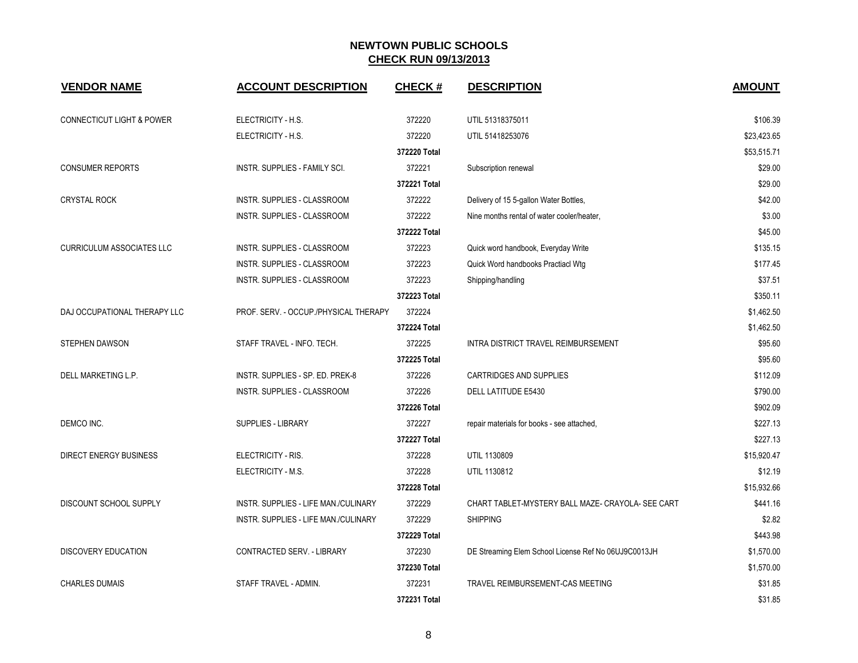| <b>VENDOR NAME</b>                   | <b>ACCOUNT DESCRIPTION</b>            | <b>CHECK#</b> | <b>DESCRIPTION</b>                                   | <b>AMOUNT</b> |
|--------------------------------------|---------------------------------------|---------------|------------------------------------------------------|---------------|
| <b>CONNECTICUT LIGHT &amp; POWER</b> | ELECTRICITY - H.S.                    | 372220        | UTIL 51318375011                                     | \$106.39      |
|                                      | ELECTRICITY - H.S.                    | 372220        | UTIL 51418253076                                     | \$23,423.65   |
|                                      |                                       | 372220 Total  |                                                      | \$53.515.71   |
| <b>CONSUMER REPORTS</b>              | INSTR. SUPPLIES - FAMILY SCI.         | 372221        | Subscription renewal                                 | \$29.00       |
|                                      |                                       | 372221 Total  |                                                      | \$29.00       |
| <b>CRYSTAL ROCK</b>                  | INSTR. SUPPLIES - CLASSROOM           | 372222        | Delivery of 15 5-gallon Water Bottles,               | \$42.00       |
|                                      | INSTR. SUPPLIES - CLASSROOM           | 372222        | Nine months rental of water cooler/heater,           | \$3.00        |
|                                      |                                       | 372222 Total  |                                                      | \$45.00       |
| <b>CURRICULUM ASSOCIATES LLC</b>     | INSTR. SUPPLIES - CLASSROOM           | 372223        | Quick word handbook, Everyday Write                  | \$135.15      |
|                                      | <b>INSTR. SUPPLIES - CLASSROOM</b>    | 372223        | Quick Word handbooks Practiacl Wtg                   | \$177.45      |
|                                      | INSTR. SUPPLIES - CLASSROOM           | 372223        | Shipping/handling                                    | \$37.51       |
|                                      |                                       | 372223 Total  |                                                      | \$350.11      |
| DAJ OCCUPATIONAL THERAPY LLC         | PROF. SERV. - OCCUP./PHYSICAL THERAPY | 372224        |                                                      | \$1,462.50    |
|                                      |                                       | 372224 Total  |                                                      | \$1,462.50    |
| <b>STEPHEN DAWSON</b>                | STAFF TRAVEL - INFO. TECH.            | 372225        | INTRA DISTRICT TRAVEL REIMBURSEMENT                  | \$95.60       |
|                                      |                                       | 372225 Total  |                                                      | \$95.60       |
| DELL MARKETING L.P.                  | INSTR. SUPPLIES - SP. ED. PREK-8      | 372226        | CARTRIDGES AND SUPPLIES                              | \$112.09      |
|                                      | <b>INSTR. SUPPLIES - CLASSROOM</b>    | 372226        | <b>DELL LATITUDE E5430</b>                           | \$790.00      |
|                                      |                                       | 372226 Total  |                                                      | \$902.09      |
| DEMCO INC.                           | <b>SUPPLIES - LIBRARY</b>             | 372227        | repair materials for books - see attached,           | \$227.13      |
|                                      |                                       | 372227 Total  |                                                      | \$227.13      |
| DIRECT ENERGY BUSINESS               | ELECTRICITY - RIS.                    | 372228        | UTIL 1130809                                         | \$15,920.47   |
|                                      | ELECTRICITY - M.S.                    | 372228        | UTIL 1130812                                         | \$12.19       |
|                                      |                                       | 372228 Total  |                                                      | \$15,932.66   |
| DISCOUNT SCHOOL SUPPLY               | INSTR. SUPPLIES - LIFE MAN./CULINARY  | 372229        | CHART TABLET-MYSTERY BALL MAZE- CRAYOLA- SEE CART    | \$441.16      |
|                                      | INSTR. SUPPLIES - LIFE MAN./CULINARY  | 372229        | <b>SHIPPING</b>                                      | \$2.82        |
|                                      |                                       | 372229 Total  |                                                      | \$443.98      |
| DISCOVERY EDUCATION                  | CONTRACTED SERV. - LIBRARY            | 372230        | DE Streaming Elem School License Ref No 06UJ9C0013JH | \$1,570.00    |
|                                      |                                       | 372230 Total  |                                                      | \$1,570.00    |
| <b>CHARLES DUMAIS</b>                | STAFF TRAVEL - ADMIN.                 | 372231        | TRAVEL REIMBURSEMENT-CAS MEETING                     | \$31.85       |
|                                      |                                       | 372231 Total  |                                                      | \$31.85       |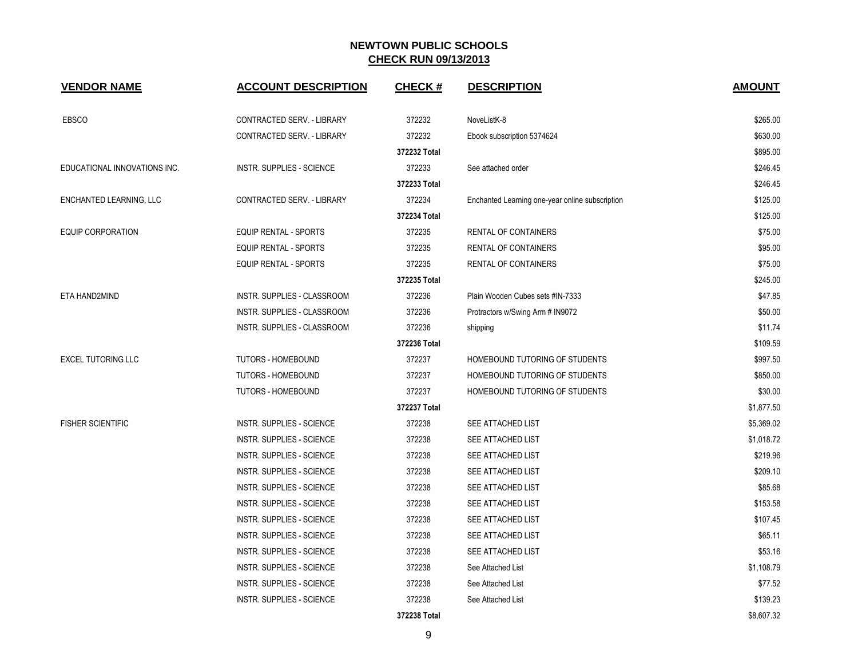| <b>VENDOR NAME</b>           | <b>ACCOUNT DESCRIPTION</b>       | <b>CHECK#</b> | <b>DESCRIPTION</b>                              | <b>AMOUNT</b> |
|------------------------------|----------------------------------|---------------|-------------------------------------------------|---------------|
| <b>EBSCO</b>                 | CONTRACTED SERV. - LIBRARY       | 372232        | NoveListK-8                                     | \$265.00      |
|                              | CONTRACTED SERV. - LIBRARY       | 372232        | Ebook subscription 5374624                      | \$630.00      |
|                              |                                  | 372232 Total  |                                                 | \$895.00      |
| EDUCATIONAL INNOVATIONS INC. | <b>INSTR. SUPPLIES - SCIENCE</b> | 372233        | See attached order                              | \$246.45      |
|                              |                                  | 372233 Total  |                                                 | \$246.45      |
| ENCHANTED LEARNING, LLC      | CONTRACTED SERV. - LIBRARY       | 372234        | Enchanted Learning one-year online subscription | \$125.00      |
|                              |                                  | 372234 Total  |                                                 | \$125.00      |
| EQUIP CORPORATION            | <b>EQUIP RENTAL - SPORTS</b>     | 372235        | RENTAL OF CONTAINERS                            | \$75.00       |
|                              | EQUIP RENTAL - SPORTS            | 372235        | RENTAL OF CONTAINERS                            | \$95.00       |
|                              | EQUIP RENTAL - SPORTS            | 372235        | RENTAL OF CONTAINERS                            | \$75.00       |
|                              |                                  | 372235 Total  |                                                 | \$245.00      |
| ETA HAND2MIND                | INSTR. SUPPLIES - CLASSROOM      | 372236        | Plain Wooden Cubes sets #IN-7333                | \$47.85       |
|                              | INSTR. SUPPLIES - CLASSROOM      | 372236        | Protractors w/Swing Arm # IN9072                | \$50.00       |
|                              | INSTR. SUPPLIES - CLASSROOM      | 372236        | shipping                                        | \$11.74       |
|                              |                                  | 372236 Total  |                                                 | \$109.59      |
| <b>EXCEL TUTORING LLC</b>    | <b>TUTORS - HOMEBOUND</b>        | 372237        | HOMEBOUND TUTORING OF STUDENTS                  | \$997.50      |
|                              | <b>TUTORS - HOMEBOUND</b>        | 372237        | HOMEBOUND TUTORING OF STUDENTS                  | \$850.00      |
|                              | TUTORS - HOMEBOUND               | 372237        | HOMEBOUND TUTORING OF STUDENTS                  | \$30.00       |
|                              |                                  | 372237 Total  |                                                 | \$1,877.50    |
| <b>FISHER SCIENTIFIC</b>     | <b>INSTR. SUPPLIES - SCIENCE</b> | 372238        | SEE ATTACHED LIST                               | \$5,369.02    |
|                              | <b>INSTR. SUPPLIES - SCIENCE</b> | 372238        | SEE ATTACHED LIST                               | \$1,018.72    |
|                              | <b>INSTR. SUPPLIES - SCIENCE</b> | 372238        | SEE ATTACHED LIST                               | \$219.96      |
|                              | <b>INSTR. SUPPLIES - SCIENCE</b> | 372238        | SEE ATTACHED LIST                               | \$209.10      |
|                              | <b>INSTR. SUPPLIES - SCIENCE</b> | 372238        | SEE ATTACHED LIST                               | \$85.68       |
|                              | <b>INSTR. SUPPLIES - SCIENCE</b> | 372238        | SEE ATTACHED LIST                               | \$153.58      |
|                              | <b>INSTR. SUPPLIES - SCIENCE</b> | 372238        | SEE ATTACHED LIST                               | \$107.45      |
|                              | INSTR. SUPPLIES - SCIENCE        | 372238        | SEE ATTACHED LIST                               | \$65.11       |
|                              | <b>INSTR. SUPPLIES - SCIENCE</b> | 372238        | SEE ATTACHED LIST                               | \$53.16       |
|                              | <b>INSTR. SUPPLIES - SCIENCE</b> | 372238        | See Attached List                               | \$1,108.79    |
|                              | <b>INSTR. SUPPLIES - SCIENCE</b> | 372238        | See Attached List                               | \$77.52       |
|                              | <b>INSTR. SUPPLIES - SCIENCE</b> | 372238        | See Attached List                               | \$139.23      |
|                              |                                  | 372238 Total  |                                                 | \$8,607.32    |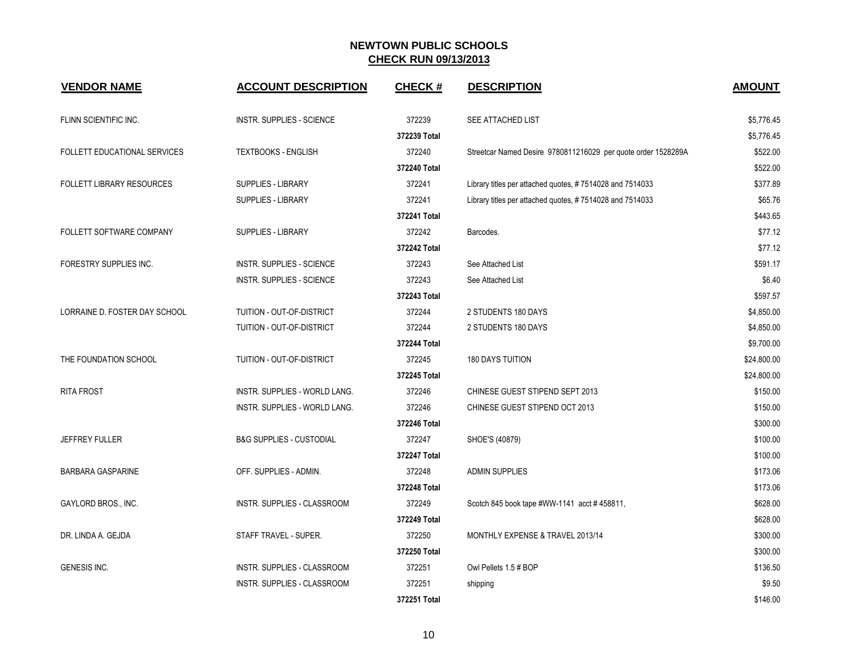| <b>VENDOR NAME</b>               | <b>ACCOUNT DESCRIPTION</b>           | <b>CHECK#</b> | <b>DESCRIPTION</b>                                            | <b>AMOUNT</b> |
|----------------------------------|--------------------------------------|---------------|---------------------------------------------------------------|---------------|
| FLINN SCIENTIFIC INC.            | <b>INSTR. SUPPLIES - SCIENCE</b>     | 372239        | SEE ATTACHED LIST                                             | \$5,776.45    |
|                                  |                                      | 372239 Total  |                                                               | \$5,776.45    |
| FOLLETT EDUCATIONAL SERVICES     | <b>TEXTBOOKS - ENGLISH</b>           | 372240        | Streetcar Named Desire 9780811216029 per quote order 1528289A | \$522.00      |
|                                  |                                      | 372240 Total  |                                                               | \$522.00      |
| <b>FOLLETT LIBRARY RESOURCES</b> | <b>SUPPLIES - LIBRARY</b>            | 372241        | Library titles per attached quotes, #7514028 and 7514033      | \$377.89      |
|                                  | <b>SUPPLIES - LIBRARY</b>            | 372241        | Library titles per attached quotes, #7514028 and 7514033      | \$65.76       |
|                                  |                                      | 372241 Total  |                                                               | \$443.65      |
| FOLLETT SOFTWARE COMPANY         | <b>SUPPLIES - LIBRARY</b>            | 372242        | Barcodes.                                                     | \$77.12       |
|                                  |                                      | 372242 Total  |                                                               | \$77.12       |
| FORESTRY SUPPLIES INC.           | <b>INSTR. SUPPLIES - SCIENCE</b>     | 372243        | See Attached List                                             | \$591.17      |
|                                  | <b>INSTR. SUPPLIES - SCIENCE</b>     | 372243        | See Attached List                                             | \$6.40        |
|                                  |                                      | 372243 Total  |                                                               | \$597.57      |
| LORRAINE D. FOSTER DAY SCHOOL    | TUITION - OUT-OF-DISTRICT            | 372244        | 2 STUDENTS 180 DAYS                                           | \$4,850.00    |
|                                  | TUITION - OUT-OF-DISTRICT            | 372244        | 2 STUDENTS 180 DAYS                                           | \$4,850.00    |
|                                  |                                      | 372244 Total  |                                                               | \$9,700.00    |
| THE FOUNDATION SCHOOL            | TUITION - OUT-OF-DISTRICT            | 372245        | <b>180 DAYS TUITION</b>                                       | \$24,800.00   |
|                                  |                                      | 372245 Total  |                                                               | \$24,800.00   |
| <b>RITA FROST</b>                | <b>INSTR. SUPPLIES - WORLD LANG.</b> | 372246        | CHINESE GUEST STIPEND SEPT 2013                               | \$150.00      |
|                                  | INSTR. SUPPLIES - WORLD LANG.        | 372246        | CHINESE GUEST STIPEND OCT 2013                                | \$150.00      |
|                                  |                                      | 372246 Total  |                                                               | \$300.00      |
| <b>JEFFREY FULLER</b>            | <b>B&amp;G SUPPLIES - CUSTODIAL</b>  | 372247        | SHOE'S (40879)                                                | \$100.00      |
|                                  |                                      | 372247 Total  |                                                               | \$100.00      |
| BARBARA GASPARINE                | OFF. SUPPLIES - ADMIN.               | 372248        | <b>ADMIN SUPPLIES</b>                                         | \$173.06      |
|                                  |                                      | 372248 Total  |                                                               | \$173.06      |
| GAYLORD BROS., INC.              | <b>INSTR. SUPPLIES - CLASSROOM</b>   | 372249        | Scotch 845 book tape #WW-1141 acct #458811,                   | \$628.00      |
|                                  |                                      | 372249 Total  |                                                               | \$628.00      |
| DR. LINDA A. GEJDA               | STAFF TRAVEL - SUPER.                | 372250        | MONTHLY EXPENSE & TRAVEL 2013/14                              | \$300.00      |
|                                  |                                      | 372250 Total  |                                                               | \$300.00      |
| GENESIS INC.                     | INSTR. SUPPLIES - CLASSROOM          | 372251        | Owl Pellets 1.5 # BOP                                         | \$136.50      |
|                                  | INSTR. SUPPLIES - CLASSROOM          | 372251        | shipping                                                      | \$9.50        |
|                                  |                                      | 372251 Total  |                                                               | \$146.00      |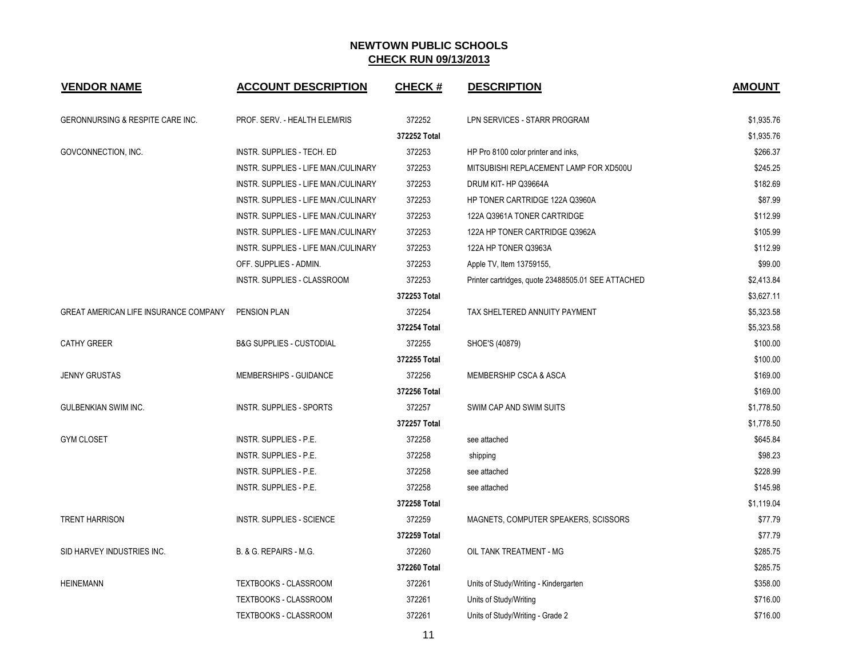| <b>VENDOR NAME</b>                          | <b>ACCOUNT DESCRIPTION</b>           | <b>CHECK#</b> | <b>DESCRIPTION</b>                                 | <b>AMOUNT</b> |
|---------------------------------------------|--------------------------------------|---------------|----------------------------------------------------|---------------|
| <b>GERONNURSING &amp; RESPITE CARE INC.</b> | PROF. SERV. - HEALTH ELEM/RIS        | 372252        | LPN SERVICES - STARR PROGRAM                       | \$1,935.76    |
|                                             |                                      | 372252 Total  |                                                    | \$1,935.76    |
| GOVCONNECTION, INC.                         | INSTR. SUPPLIES - TECH. ED           | 372253        | HP Pro 8100 color printer and inks,                | \$266.37      |
|                                             | INSTR. SUPPLIES - LIFE MAN./CULINARY | 372253        | MITSUBISHI REPLACEMENT LAMP FOR XD500U             | \$245.25      |
|                                             | INSTR. SUPPLIES - LIFE MAN./CULINARY | 372253        | DRUM KIT- HP Q39664A                               | \$182.69      |
|                                             | INSTR. SUPPLIES - LIFE MAN./CULINARY | 372253        | HP TONER CARTRIDGE 122A Q3960A                     | \$87.99       |
|                                             | INSTR. SUPPLIES - LIFE MAN./CULINARY | 372253        | 122A Q3961A TONER CARTRIDGE                        | \$112.99      |
|                                             | INSTR. SUPPLIES - LIFE MAN./CULINARY | 372253        | 122A HP TONER CARTRIDGE Q3962A                     | \$105.99      |
|                                             | INSTR. SUPPLIES - LIFE MAN./CULINARY | 372253        | 122A HP TONER Q3963A                               | \$112.99      |
|                                             | OFF. SUPPLIES - ADMIN.               | 372253        | Apple TV, Item 13759155,                           | \$99.00       |
|                                             | INSTR. SUPPLIES - CLASSROOM          | 372253        | Printer cartridges, quote 23488505.01 SEE ATTACHED | \$2,413.84    |
|                                             |                                      | 372253 Total  |                                                    | \$3,627.11    |
| GREAT AMERICAN LIFE INSURANCE COMPANY       | <b>PENSION PLAN</b>                  | 372254        | TAX SHELTERED ANNUITY PAYMENT                      | \$5,323.58    |
|                                             |                                      | 372254 Total  |                                                    | \$5,323.58    |
| <b>CATHY GREER</b>                          | <b>B&amp;G SUPPLIES - CUSTODIAL</b>  | 372255        | SHOE'S (40879)                                     | \$100.00      |
|                                             |                                      | 372255 Total  |                                                    | \$100.00      |
| <b>JENNY GRUSTAS</b>                        | MEMBERSHIPS - GUIDANCE               | 372256        | <b>MEMBERSHIP CSCA &amp; ASCA</b>                  | \$169.00      |
|                                             |                                      | 372256 Total  |                                                    | \$169.00      |
| <b>GULBENKIAN SWIM INC.</b>                 | INSTR. SUPPLIES - SPORTS             | 372257        | SWIM CAP AND SWIM SUITS                            | \$1,778.50    |
|                                             |                                      | 372257 Total  |                                                    | \$1,778.50    |
| <b>GYM CLOSET</b>                           | INSTR. SUPPLIES - P.E.               | 372258        | see attached                                       | \$645.84      |
|                                             | INSTR. SUPPLIES - P.E.               | 372258        | shipping                                           | \$98.23       |
|                                             | INSTR. SUPPLIES - P.E.               | 372258        | see attached                                       | \$228.99      |
|                                             | INSTR. SUPPLIES - P.E.               | 372258        | see attached                                       | \$145.98      |
|                                             |                                      | 372258 Total  |                                                    | \$1,119.04    |
| <b>TRENT HARRISON</b>                       | INSTR. SUPPLIES - SCIENCE            | 372259        | MAGNETS, COMPUTER SPEAKERS, SCISSORS               | \$77.79       |
|                                             |                                      | 372259 Total  |                                                    | \$77.79       |
| SID HARVEY INDUSTRIES INC.                  | B. & G. REPAIRS - M.G.               | 372260        | OIL TANK TREATMENT - MG                            | \$285.75      |
|                                             |                                      | 372260 Total  |                                                    | \$285.75      |
| <b>HEINEMANN</b>                            | TEXTBOOKS - CLASSROOM                | 372261        | Units of Study/Writing - Kindergarten              | \$358.00      |
|                                             | TEXTBOOKS - CLASSROOM                | 372261        | Units of Study/Writing                             | \$716.00      |
|                                             | <b>TEXTBOOKS - CLASSROOM</b>         | 372261        | Units of Study/Writing - Grade 2                   | \$716.00      |

11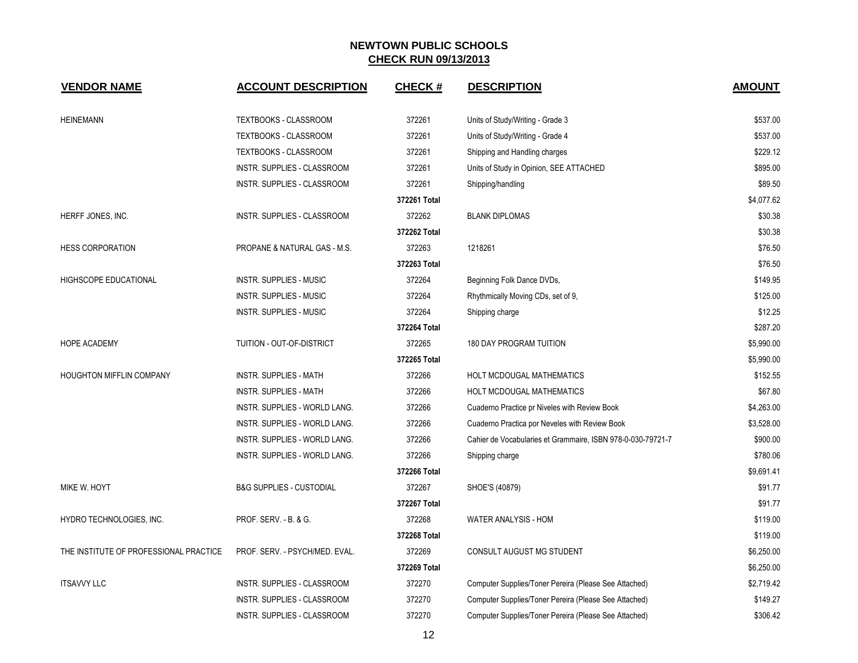| <b>VENDOR NAME</b>                     | <b>ACCOUNT DESCRIPTION</b>              | <b>CHECK#</b> | <b>DESCRIPTION</b>                                          | <b>AMOUNT</b> |
|----------------------------------------|-----------------------------------------|---------------|-------------------------------------------------------------|---------------|
| <b>HEINEMANN</b>                       | TEXTBOOKS - CLASSROOM                   | 372261        | Units of Study/Writing - Grade 3                            | \$537.00      |
|                                        | TEXTBOOKS - CLASSROOM                   | 372261        | Units of Study/Writing - Grade 4                            | \$537.00      |
|                                        | TEXTBOOKS - CLASSROOM                   | 372261        | Shipping and Handling charges                               | \$229.12      |
|                                        | INSTR. SUPPLIES - CLASSROOM             | 372261        | Units of Study in Opinion, SEE ATTACHED                     | \$895.00      |
|                                        | INSTR. SUPPLIES - CLASSROOM             | 372261        | Shipping/handling                                           | \$89.50       |
|                                        |                                         | 372261 Total  |                                                             | \$4,077.62    |
| HERFF JONES, INC.                      | INSTR. SUPPLIES - CLASSROOM             | 372262        | <b>BLANK DIPLOMAS</b>                                       | \$30.38       |
|                                        |                                         | 372262 Total  |                                                             | \$30.38       |
| <b>HESS CORPORATION</b>                | <b>PROPANE &amp; NATURAL GAS - M.S.</b> | 372263        | 1218261                                                     | \$76.50       |
|                                        |                                         | 372263 Total  |                                                             | \$76.50       |
| HIGHSCOPE EDUCATIONAL                  | <b>INSTR. SUPPLIES - MUSIC</b>          | 372264        | Beginning Folk Dance DVDs,                                  | \$149.95      |
|                                        | <b>INSTR. SUPPLIES - MUSIC</b>          | 372264        | Rhythmically Moving CDs, set of 9,                          | \$125.00      |
|                                        | <b>INSTR. SUPPLIES - MUSIC</b>          | 372264        | Shipping charge                                             | \$12.25       |
|                                        |                                         | 372264 Total  |                                                             | \$287.20      |
| HOPE ACADEMY                           | TUITION - OUT-OF-DISTRICT               | 372265        | <b>180 DAY PROGRAM TUITION</b>                              | \$5,990.00    |
|                                        |                                         | 372265 Total  |                                                             | \$5,990.00    |
| <b>HOUGHTON MIFFLIN COMPANY</b>        | <b>INSTR. SUPPLIES - MATH</b>           | 372266        | HOLT MCDOUGAL MATHEMATICS                                   | \$152.55      |
|                                        | <b>INSTR. SUPPLIES - MATH</b>           | 372266        | HOLT MCDOUGAL MATHEMATICS                                   | \$67.80       |
|                                        | INSTR. SUPPLIES - WORLD LANG.           | 372266        | Cuaderno Practice pr Niveles with Review Book               | \$4,263.00    |
|                                        | INSTR. SUPPLIES - WORLD LANG.           | 372266        | Cuaderno Practica por Neveles with Review Book              | \$3,528.00    |
|                                        | INSTR. SUPPLIES - WORLD LANG.           | 372266        | Cahier de Vocabularies et Grammaire, ISBN 978-0-030-79721-7 | \$900.00      |
|                                        | INSTR. SUPPLIES - WORLD LANG.           | 372266        | Shipping charge                                             | \$780.06      |
|                                        |                                         | 372266 Total  |                                                             | \$9,691.41    |
| MIKE W. HOYT                           | <b>B&amp;G SUPPLIES - CUSTODIAL</b>     | 372267        | SHOE'S (40879)                                              | \$91.77       |
|                                        |                                         | 372267 Total  |                                                             | \$91.77       |
| HYDRO TECHNOLOGIES, INC.               | PROF. SERV. - B. & G.                   | 372268        | WATER ANALYSIS - HOM                                        | \$119.00      |
|                                        |                                         | 372268 Total  |                                                             | \$119.00      |
| THE INSTITUTE OF PROFESSIONAL PRACTICE | PROF. SERV. - PSYCH/MED. EVAL.          | 372269        | CONSULT AUGUST MG STUDENT                                   | \$6,250.00    |
|                                        |                                         | 372269 Total  |                                                             | \$6,250.00    |
| <b>ITSAVVY LLC</b>                     | INSTR. SUPPLIES - CLASSROOM             | 372270        | Computer Supplies/Toner Pereira (Please See Attached)       | \$2,719.42    |
|                                        | INSTR. SUPPLIES - CLASSROOM             | 372270        | Computer Supplies/Toner Pereira (Please See Attached)       | \$149.27      |
|                                        | INSTR. SUPPLIES - CLASSROOM             | 372270        | Computer Supplies/Toner Pereira (Please See Attached)       | \$306.42      |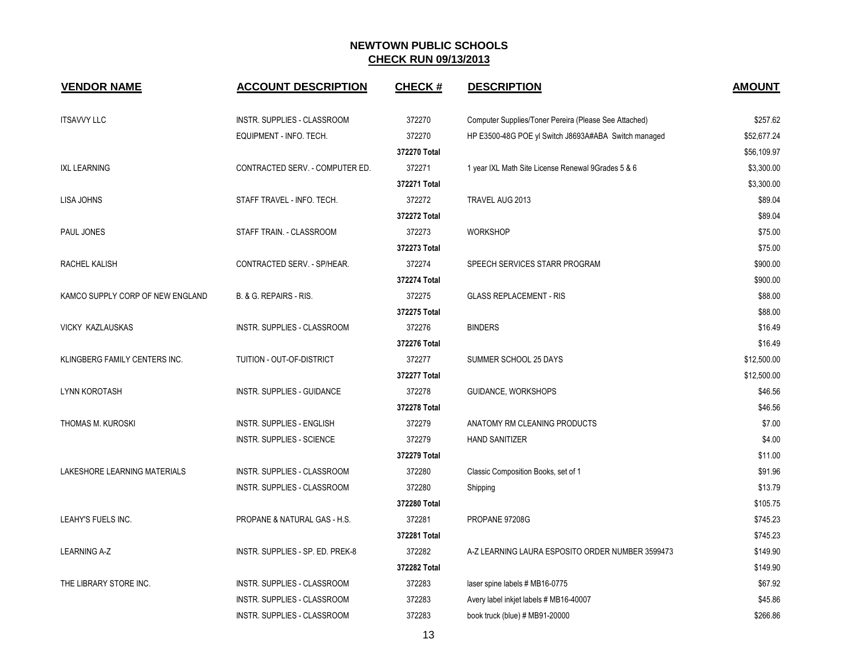| <b>VENDOR NAME</b>               | <b>ACCOUNT DESCRIPTION</b>       | <b>CHECK#</b> | <b>DESCRIPTION</b>                                    | <b>AMOUNT</b> |
|----------------------------------|----------------------------------|---------------|-------------------------------------------------------|---------------|
| <b>ITSAVVY LLC</b>               | INSTR. SUPPLIES - CLASSROOM      | 372270        | Computer Supplies/Toner Pereira (Please See Attached) | \$257.62      |
|                                  | EQUIPMENT - INFO. TECH.          | 372270        | HP E3500-48G POE yl Switch J8693A#ABA Switch managed  | \$52,677.24   |
|                                  |                                  | 372270 Total  |                                                       | \$56,109.97   |
| <b>IXL LEARNING</b>              | CONTRACTED SERV. - COMPUTER ED.  | 372271        | 1 year IXL Math Site License Renewal 9Grades 5 & 6    | \$3,300.00    |
|                                  |                                  | 372271 Total  |                                                       | \$3,300.00    |
| LISA JOHNS                       | STAFF TRAVEL - INFO. TECH.       | 372272        | TRAVEL AUG 2013                                       | \$89.04       |
|                                  |                                  | 372272 Total  |                                                       | \$89.04       |
| PAUL JONES                       | STAFF TRAIN. - CLASSROOM         | 372273        | <b>WORKSHOP</b>                                       | \$75.00       |
|                                  |                                  | 372273 Total  |                                                       | \$75.00       |
| RACHEL KALISH                    | CONTRACTED SERV. - SP/HEAR.      | 372274        | SPEECH SERVICES STARR PROGRAM                         | \$900.00      |
|                                  |                                  | 372274 Total  |                                                       | \$900.00      |
| KAMCO SUPPLY CORP OF NEW ENGLAND | B. & G. REPAIRS - RIS.           | 372275        | <b>GLASS REPLACEMENT - RIS</b>                        | \$88.00       |
|                                  |                                  | 372275 Total  |                                                       | \$88.00       |
| VICKY KAZLAUSKAS                 | INSTR. SUPPLIES - CLASSROOM      | 372276        | <b>BINDERS</b>                                        | \$16.49       |
|                                  |                                  | 372276 Total  |                                                       | \$16.49       |
| KLINGBERG FAMILY CENTERS INC.    | TUITION - OUT-OF-DISTRICT        | 372277        | SUMMER SCHOOL 25 DAYS                                 | \$12,500.00   |
|                                  |                                  | 372277 Total  |                                                       | \$12,500.00   |
| <b>LYNN KOROTASH</b>             | INSTR. SUPPLIES - GUIDANCE       | 372278        | GUIDANCE, WORKSHOPS                                   | \$46.56       |
|                                  |                                  | 372278 Total  |                                                       | \$46.56       |
| THOMAS M. KUROSKI                | INSTR. SUPPLIES - ENGLISH        | 372279        | ANATOMY RM CLEANING PRODUCTS                          | \$7.00        |
|                                  | INSTR. SUPPLIES - SCIENCE        | 372279        | <b>HAND SANITIZER</b>                                 | \$4.00        |
|                                  |                                  | 372279 Total  |                                                       | \$11.00       |
| LAKESHORE LEARNING MATERIALS     | INSTR. SUPPLIES - CLASSROOM      | 372280        | Classic Composition Books, set of 1                   | \$91.96       |
|                                  | INSTR. SUPPLIES - CLASSROOM      | 372280        | Shipping                                              | \$13.79       |
|                                  |                                  | 372280 Total  |                                                       | \$105.75      |
| LEAHY'S FUELS INC.               | PROPANE & NATURAL GAS - H.S.     | 372281        | PROPANE 97208G                                        | \$745.23      |
|                                  |                                  | 372281 Total  |                                                       | \$745.23      |
| <b>LEARNING A-Z</b>              | INSTR. SUPPLIES - SP. ED. PREK-8 | 372282        | A-Z LEARNING LAURA ESPOSITO ORDER NUMBER 3599473      | \$149.90      |
|                                  |                                  | 372282 Total  |                                                       | \$149.90      |
| THE LIBRARY STORE INC.           | INSTR. SUPPLIES - CLASSROOM      | 372283        | laser spine labels # MB16-0775                        | \$67.92       |
|                                  | INSTR. SUPPLIES - CLASSROOM      | 372283        | Avery label inkjet labels # MB16-40007                | \$45.86       |
|                                  | INSTR. SUPPLIES - CLASSROOM      | 372283        | book truck (blue) # MB91-20000                        | \$266.86      |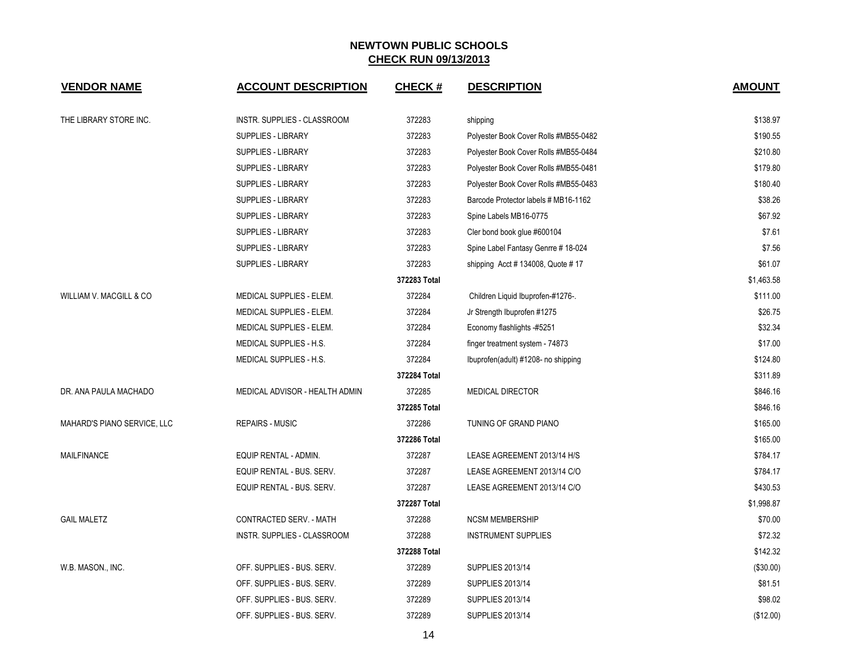| <b>VENDOR NAME</b>          | <b>ACCOUNT DESCRIPTION</b>     | <b>CHECK#</b> | <b>DESCRIPTION</b>                    | <b>AMOUNT</b> |
|-----------------------------|--------------------------------|---------------|---------------------------------------|---------------|
| THE LIBRARY STORE INC.      | INSTR. SUPPLIES - CLASSROOM    | 372283        | shipping                              | \$138.97      |
|                             | <b>SUPPLIES - LIBRARY</b>      | 372283        | Polyester Book Cover Rolls #MB55-0482 | \$190.55      |
|                             | SUPPLIES - LIBRARY             | 372283        | Polyester Book Cover Rolls #MB55-0484 | \$210.80      |
|                             | SUPPLIES - LIBRARY             | 372283        | Polyester Book Cover Rolls #MB55-0481 | \$179.80      |
|                             | <b>SUPPLIES - LIBRARY</b>      | 372283        | Polyester Book Cover Rolls #MB55-0483 | \$180.40      |
|                             | <b>SUPPLIES - LIBRARY</b>      | 372283        | Barcode Protector labels # MB16-1162  | \$38.26       |
|                             | <b>SUPPLIES - LIBRARY</b>      | 372283        | Spine Labels MB16-0775                | \$67.92       |
|                             | <b>SUPPLIES - LIBRARY</b>      | 372283        | Cler bond book glue #600104           | \$7.61        |
|                             | SUPPLIES - LIBRARY             | 372283        | Spine Label Fantasy Genrre # 18-024   | \$7.56        |
|                             | SUPPLIES - LIBRARY             | 372283        | shipping Acct # 134008, Quote # 17    | \$61.07       |
|                             |                                | 372283 Total  |                                       | \$1,463.58    |
| WILLIAM V. MACGILL & CO     | MEDICAL SUPPLIES - ELEM.       | 372284        | Children Liquid Ibuprofen-#1276-.     | \$111.00      |
|                             | MEDICAL SUPPLIES - ELEM.       | 372284        | Jr Strength Ibuprofen #1275           | \$26.75       |
|                             | MEDICAL SUPPLIES - ELEM.       | 372284        | Economy flashlights -#5251            | \$32.34       |
|                             | MEDICAL SUPPLIES - H.S.        | 372284        | finger treatment system - 74873       | \$17.00       |
|                             | MEDICAL SUPPLIES - H.S.        | 372284        | Ibuprofen(adult) #1208- no shipping   | \$124.80      |
|                             |                                | 372284 Total  |                                       | \$311.89      |
| DR. ANA PAULA MACHADO       | MEDICAL ADVISOR - HEALTH ADMIN | 372285        | <b>MEDICAL DIRECTOR</b>               | \$846.16      |
|                             |                                | 372285 Total  |                                       | \$846.16      |
| MAHARD'S PIANO SERVICE, LLC | <b>REPAIRS - MUSIC</b>         | 372286        | TUNING OF GRAND PIANO                 | \$165.00      |
|                             |                                | 372286 Total  |                                       | \$165.00      |
| <b>MAILFINANCE</b>          | EQUIP RENTAL - ADMIN.          | 372287        | LEASE AGREEMENT 2013/14 H/S           | \$784.17      |
|                             | EQUIP RENTAL - BUS. SERV.      | 372287        | LEASE AGREEMENT 2013/14 C/O           | \$784.17      |
|                             | EQUIP RENTAL - BUS. SERV.      | 372287        | LEASE AGREEMENT 2013/14 C/O           | \$430.53      |
|                             |                                | 372287 Total  |                                       | \$1,998.87    |
| <b>GAIL MALETZ</b>          | CONTRACTED SERV. - MATH        | 372288        | <b>NCSM MEMBERSHIP</b>                | \$70.00       |
|                             | INSTR. SUPPLIES - CLASSROOM    | 372288        | <b>INSTRUMENT SUPPLIES</b>            | \$72.32       |
|                             |                                | 372288 Total  |                                       | \$142.32      |
| W.B. MASON., INC.           | OFF. SUPPLIES - BUS. SERV.     | 372289        | SUPPLIES 2013/14                      | (\$30.00)     |
|                             | OFF. SUPPLIES - BUS. SERV.     | 372289        | <b>SUPPLIES 2013/14</b>               | \$81.51       |
|                             | OFF. SUPPLIES - BUS. SERV.     | 372289        | <b>SUPPLIES 2013/14</b>               | \$98.02       |
|                             | OFF. SUPPLIES - BUS. SERV.     | 372289        | <b>SUPPLIES 2013/14</b>               | (\$12.00)     |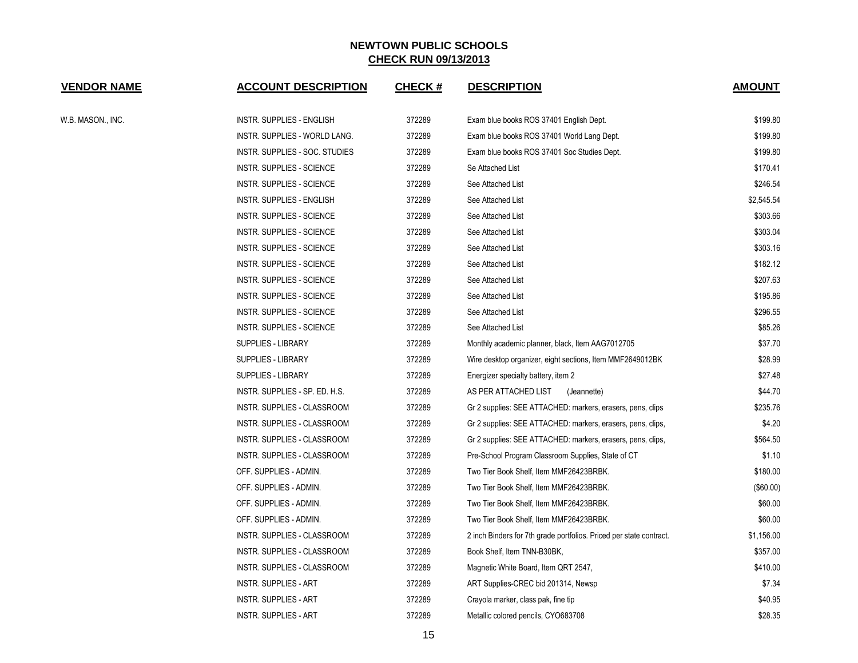| <b>VENDOR NAME</b> | <b>ACCOUNT DESCRIPTION</b>       | <b>CHECK#</b> | <b>DESCRIPTION</b>                                                  | <b>AMOUNT</b> |
|--------------------|----------------------------------|---------------|---------------------------------------------------------------------|---------------|
| W.B. MASON., INC.  | INSTR. SUPPLIES - ENGLISH        | 372289        | Exam blue books ROS 37401 English Dept.                             | \$199.80      |
|                    | INSTR. SUPPLIES - WORLD LANG.    | 372289        | Exam blue books ROS 37401 World Lang Dept.                          | \$199.80      |
|                    | INSTR. SUPPLIES - SOC. STUDIES   | 372289        | Exam blue books ROS 37401 Soc Studies Dept.                         | \$199.80      |
|                    | INSTR. SUPPLIES - SCIENCE        | 372289        | Se Attached List                                                    | \$170.41      |
|                    | INSTR. SUPPLIES - SCIENCE        | 372289        | See Attached List                                                   | \$246.54      |
|                    | INSTR. SUPPLIES - ENGLISH        | 372289        | See Attached List                                                   | \$2,545.54    |
|                    | INSTR. SUPPLIES - SCIENCE        | 372289        | See Attached List                                                   | \$303.66      |
|                    | <b>INSTR. SUPPLIES - SCIENCE</b> | 372289        | See Attached List                                                   | \$303.04      |
|                    | INSTR. SUPPLIES - SCIENCE        | 372289        | See Attached List                                                   | \$303.16      |
|                    | INSTR. SUPPLIES - SCIENCE        | 372289        | See Attached List                                                   | \$182.12      |
|                    | INSTR. SUPPLIES - SCIENCE        | 372289        | See Attached List                                                   | \$207.63      |
|                    | INSTR. SUPPLIES - SCIENCE        | 372289        | See Attached List                                                   | \$195.86      |
|                    | INSTR. SUPPLIES - SCIENCE        | 372289        | See Attached List                                                   | \$296.55      |
|                    | INSTR. SUPPLIES - SCIENCE        | 372289        | See Attached List                                                   | \$85.26       |
|                    | SUPPLIES - LIBRARY               | 372289        | Monthly academic planner, black, Item AAG7012705                    | \$37.70       |
|                    | SUPPLIES - LIBRARY               | 372289        | Wire desktop organizer, eight sections, Item MMF2649012BK           | \$28.99       |
|                    | SUPPLIES - LIBRARY               | 372289        | Energizer specialty battery, item 2                                 | \$27.48       |
|                    | INSTR. SUPPLIES - SP. ED. H.S.   | 372289        | AS PER ATTACHED LIST<br>(Jeannette)                                 | \$44.70       |
|                    | INSTR. SUPPLIES - CLASSROOM      | 372289        | Gr 2 supplies: SEE ATTACHED: markers, erasers, pens, clips          | \$235.76      |
|                    | INSTR. SUPPLIES - CLASSROOM      | 372289        | Gr 2 supplies: SEE ATTACHED: markers, erasers, pens, clips,         | \$4.20        |
|                    | INSTR. SUPPLIES - CLASSROOM      | 372289        | Gr 2 supplies: SEE ATTACHED: markers, erasers, pens, clips,         | \$564.50      |
|                    | INSTR. SUPPLIES - CLASSROOM      | 372289        | Pre-School Program Classroom Supplies, State of CT                  | \$1.10        |
|                    | OFF. SUPPLIES - ADMIN.           | 372289        | Two Tier Book Shelf, Item MMF26423BRBK.                             | \$180.00      |
|                    | OFF. SUPPLIES - ADMIN.           | 372289        | Two Tier Book Shelf, Item MMF26423BRBK.                             | (\$60.00)     |
|                    | OFF. SUPPLIES - ADMIN.           | 372289        | Two Tier Book Shelf, Item MMF26423BRBK.                             | \$60.00       |
|                    | OFF. SUPPLIES - ADMIN.           | 372289        | Two Tier Book Shelf, Item MMF26423BRBK.                             | \$60.00       |
|                    | INSTR. SUPPLIES - CLASSROOM      | 372289        | 2 inch Binders for 7th grade portfolios. Priced per state contract. | \$1,156.00    |
|                    | INSTR. SUPPLIES - CLASSROOM      | 372289        | Book Shelf, Item TNN-B30BK,                                         | \$357.00      |
|                    | INSTR. SUPPLIES - CLASSROOM      | 372289        | Magnetic White Board, Item QRT 2547,                                | \$410.00      |
|                    | <b>INSTR. SUPPLIES - ART</b>     | 372289        | ART Supplies-CREC bid 201314, Newsp                                 | \$7.34        |
|                    | INSTR. SUPPLIES - ART            | 372289        | Crayola marker, class pak, fine tip                                 | \$40.95       |
|                    | <b>INSTR. SUPPLIES - ART</b>     | 372289        | Metallic colored pencils, CYO683708                                 | \$28.35       |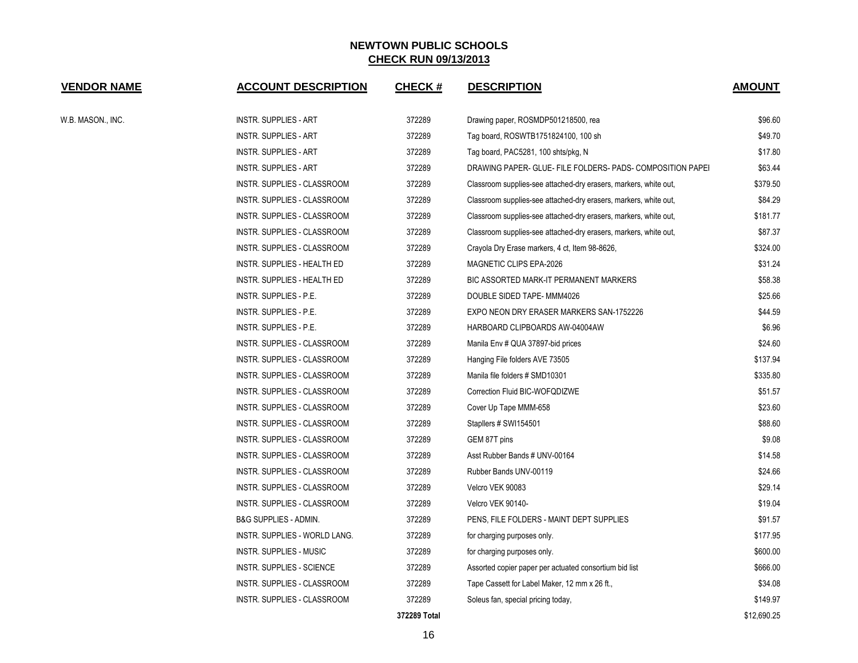| <b>VENDOR NAME</b> | <b>ACCOUNT DESCRIPTION</b>       | <b>CHECK#</b> | <b>DESCRIPTION</b>                                               | <b>AMOUNT</b> |
|--------------------|----------------------------------|---------------|------------------------------------------------------------------|---------------|
| W.B. MASON., INC.  | <b>INSTR. SUPPLIES - ART</b>     | 372289        | Drawing paper, ROSMDP501218500, rea                              | \$96.60       |
|                    | <b>INSTR. SUPPLIES - ART</b>     | 372289        | Tag board, ROSWTB1751824100, 100 sh                              | \$49.70       |
|                    | INSTR. SUPPLIES - ART            | 372289        | Tag board, PAC5281, 100 shts/pkg, N                              | \$17.80       |
|                    | <b>INSTR. SUPPLIES - ART</b>     | 372289        | DRAWING PAPER- GLUE- FILE FOLDERS- PADS- COMPOSITION PAPEI       | \$63.44       |
|                    | INSTR. SUPPLIES - CLASSROOM      | 372289        | Classroom supplies-see attached-dry erasers, markers, white out, | \$379.50      |
|                    | INSTR. SUPPLIES - CLASSROOM      | 372289        | Classroom supplies-see attached-dry erasers, markers, white out, | \$84.29       |
|                    | INSTR. SUPPLIES - CLASSROOM      | 372289        | Classroom supplies-see attached-dry erasers, markers, white out, | \$181.77      |
|                    | INSTR. SUPPLIES - CLASSROOM      | 372289        | Classroom supplies-see attached-dry erasers, markers, white out, | \$87.37       |
|                    | INSTR. SUPPLIES - CLASSROOM      | 372289        | Crayola Dry Erase markers, 4 ct, Item 98-8626,                   | \$324.00      |
|                    | INSTR. SUPPLIES - HEALTH ED      | 372289        | MAGNETIC CLIPS EPA-2026                                          | \$31.24       |
|                    | INSTR. SUPPLIES - HEALTH ED      | 372289        | BIC ASSORTED MARK-IT PERMANENT MARKERS                           | \$58.38       |
|                    | INSTR. SUPPLIES - P.E.           | 372289        | DOUBLE SIDED TAPE- MMM4026                                       | \$25.66       |
|                    | INSTR. SUPPLIES - P.E.           | 372289        | EXPO NEON DRY ERASER MARKERS SAN-1752226                         | \$44.59       |
|                    | INSTR. SUPPLIES - P.E.           | 372289        | HARBOARD CLIPBOARDS AW-04004AW                                   | \$6.96        |
|                    | INSTR. SUPPLIES - CLASSROOM      | 372289        | Manila Env # QUA 37897-bid prices                                | \$24.60       |
|                    | INSTR. SUPPLIES - CLASSROOM      | 372289        | Hanging File folders AVE 73505                                   | \$137.94      |
|                    | INSTR. SUPPLIES - CLASSROOM      | 372289        | Manila file folders # SMD10301                                   | \$335.80      |
|                    | INSTR. SUPPLIES - CLASSROOM      | 372289        | Correction Fluid BIC-WOFQDIZWE                                   | \$51.57       |
|                    | INSTR. SUPPLIES - CLASSROOM      | 372289        | Cover Up Tape MMM-658                                            | \$23.60       |
|                    | INSTR. SUPPLIES - CLASSROOM      | 372289        | Stapllers # SWI154501                                            | \$88.60       |
|                    | INSTR. SUPPLIES - CLASSROOM      | 372289        | GEM 87T pins                                                     | \$9.08        |
|                    | INSTR. SUPPLIES - CLASSROOM      | 372289        | Asst Rubber Bands # UNV-00164                                    | \$14.58       |
|                    | INSTR. SUPPLIES - CLASSROOM      | 372289        | Rubber Bands UNV-00119                                           | \$24.66       |
|                    | INSTR. SUPPLIES - CLASSROOM      | 372289        | Velcro VEK 90083                                                 | \$29.14       |
|                    | INSTR. SUPPLIES - CLASSROOM      | 372289        | Velcro VEK 90140-                                                | \$19.04       |
|                    | <b>B&amp;G SUPPLIES - ADMIN.</b> | 372289        | PENS, FILE FOLDERS - MAINT DEPT SUPPLIES                         | \$91.57       |
|                    | INSTR. SUPPLIES - WORLD LANG.    | 372289        | for charging purposes only.                                      | \$177.95      |
|                    | INSTR. SUPPLIES - MUSIC          | 372289        | for charging purposes only.                                      | \$600.00      |
|                    | <b>INSTR. SUPPLIES - SCIENCE</b> | 372289        | Assorted copier paper per actuated consortium bid list           | \$666.00      |
|                    | INSTR. SUPPLIES - CLASSROOM      | 372289        | Tape Cassett for Label Maker, 12 mm x 26 ft.,                    | \$34.08       |
|                    | INSTR. SUPPLIES - CLASSROOM      | 372289        | Soleus fan, special pricing today,                               | \$149.97      |
|                    |                                  | 372289 Total  |                                                                  | \$12.690.25   |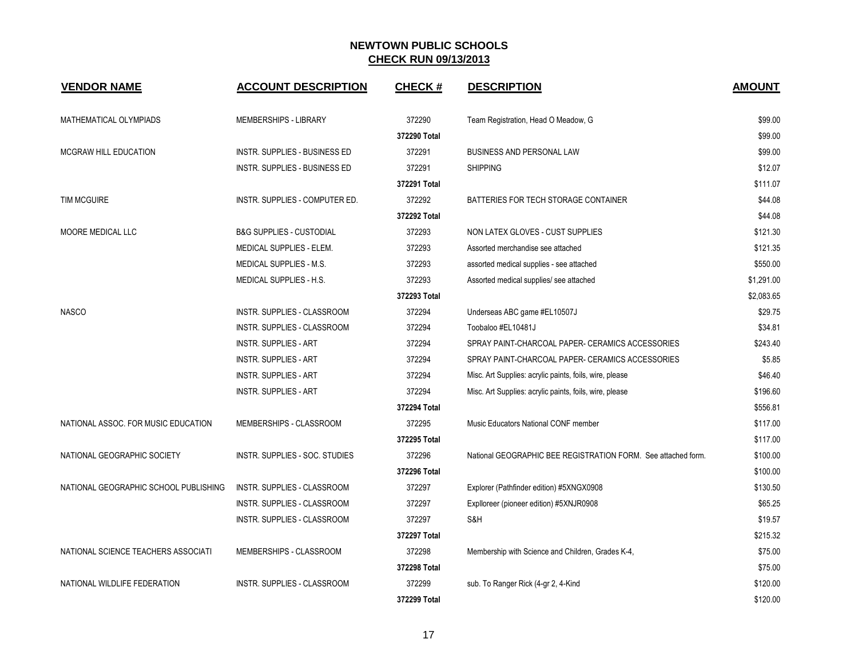| <b>VENDOR NAME</b>                    | <b>ACCOUNT DESCRIPTION</b>           | <b>CHECK#</b> | <b>DESCRIPTION</b>                                            | <b>AMOUNT</b> |
|---------------------------------------|--------------------------------------|---------------|---------------------------------------------------------------|---------------|
| <b>MATHEMATICAL OLYMPIADS</b>         | <b>MEMBERSHIPS - LIBRARY</b>         | 372290        | Team Registration, Head O Meadow, G                           | \$99.00       |
|                                       |                                      | 372290 Total  |                                                               | \$99.00       |
| MCGRAW HILL EDUCATION                 | <b>INSTR. SUPPLIES - BUSINESS ED</b> | 372291        | <b>BUSINESS AND PERSONAL LAW</b>                              | \$99.00       |
|                                       | INSTR. SUPPLIES - BUSINESS ED        | 372291        | <b>SHIPPING</b>                                               | \$12.07       |
|                                       |                                      | 372291 Total  |                                                               | \$111.07      |
| <b>TIM MCGUIRE</b>                    | INSTR. SUPPLIES - COMPUTER ED.       | 372292        | BATTERIES FOR TECH STORAGE CONTAINER                          | \$44.08       |
|                                       |                                      | 372292 Total  |                                                               | \$44.08       |
| MOORE MEDICAL LLC                     | <b>B&amp;G SUPPLIES - CUSTODIAL</b>  | 372293        | NON LATEX GLOVES - CUST SUPPLIES                              | \$121.30      |
|                                       | MEDICAL SUPPLIES - ELEM.             | 372293        | Assorted merchandise see attached                             | \$121.35      |
|                                       | <b>MEDICAL SUPPLIES - M.S.</b>       | 372293        | assorted medical supplies - see attached                      | \$550.00      |
|                                       | MEDICAL SUPPLIES - H.S.              | 372293        | Assorted medical supplies/ see attached                       | \$1,291.00    |
|                                       |                                      | 372293 Total  |                                                               | \$2,083.65    |
| <b>NASCO</b>                          | INSTR. SUPPLIES - CLASSROOM          | 372294        | Underseas ABC game #EL10507J                                  | \$29.75       |
|                                       | INSTR. SUPPLIES - CLASSROOM          | 372294        | Toobaloo #EL10481J                                            | \$34.81       |
|                                       | <b>INSTR. SUPPLIES - ART</b>         | 372294        | SPRAY PAINT-CHARCOAL PAPER- CERAMICS ACCESSORIES              | \$243.40      |
|                                       | <b>INSTR. SUPPLIES - ART</b>         | 372294        | SPRAY PAINT-CHARCOAL PAPER- CERAMICS ACCESSORIES              | \$5.85        |
|                                       | <b>INSTR. SUPPLIES - ART</b>         | 372294        | Misc. Art Supplies: acrylic paints, foils, wire, please       | \$46.40       |
|                                       | <b>INSTR. SUPPLIES - ART</b>         | 372294        | Misc. Art Supplies: acrylic paints, foils, wire, please       | \$196.60      |
|                                       |                                      | 372294 Total  |                                                               | \$556.81      |
| NATIONAL ASSOC. FOR MUSIC EDUCATION   | MEMBERSHIPS - CLASSROOM              | 372295        | Music Educators National CONF member                          | \$117.00      |
|                                       |                                      | 372295 Total  |                                                               | \$117.00      |
| NATIONAL GEOGRAPHIC SOCIETY           | INSTR. SUPPLIES - SOC. STUDIES       | 372296        | National GEOGRAPHIC BEE REGISTRATION FORM. See attached form. | \$100.00      |
|                                       |                                      | 372296 Total  |                                                               | \$100.00      |
| NATIONAL GEOGRAPHIC SCHOOL PUBLISHING | <b>INSTR. SUPPLIES - CLASSROOM</b>   | 372297        | Explorer (Pathfinder edition) #5XNGX0908                      | \$130.50      |
|                                       | INSTR. SUPPLIES - CLASSROOM          | 372297        | Explloreer (pioneer edition) #5XNJR0908                       | \$65.25       |
|                                       | INSTR. SUPPLIES - CLASSROOM          | 372297        | S&H                                                           | \$19.57       |
|                                       |                                      | 372297 Total  |                                                               | \$215.32      |
| NATIONAL SCIENCE TEACHERS ASSOCIATI   | MEMBERSHIPS - CLASSROOM              | 372298        | Membership with Science and Children, Grades K-4,             | \$75.00       |
|                                       |                                      | 372298 Total  |                                                               | \$75.00       |
| NATIONAL WILDLIFE FEDERATION          | <b>INSTR. SUPPLIES - CLASSROOM</b>   | 372299        | sub. To Ranger Rick (4-gr 2, 4-Kind                           | \$120.00      |
|                                       |                                      | 372299 Total  |                                                               | \$120.00      |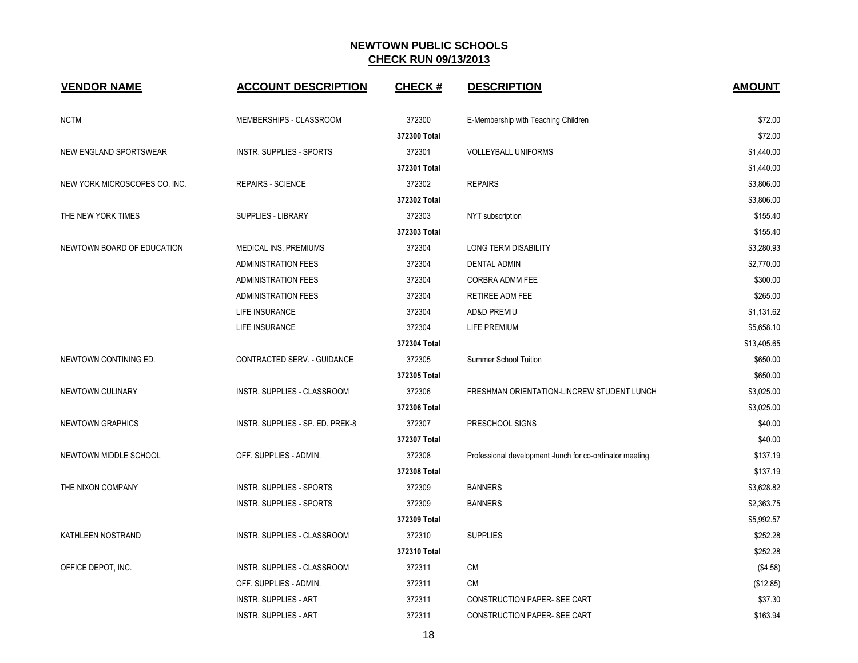| <b>VENDOR NAME</b>            | <b>ACCOUNT DESCRIPTION</b>       | <b>CHECK#</b> | <b>DESCRIPTION</b>                                        | <b>AMOUNT</b> |
|-------------------------------|----------------------------------|---------------|-----------------------------------------------------------|---------------|
| <b>NCTM</b>                   | MEMBERSHIPS - CLASSROOM          | 372300        | E-Membership with Teaching Children                       | \$72.00       |
|                               |                                  | 372300 Total  |                                                           | \$72.00       |
| NEW ENGLAND SPORTSWEAR        | <b>INSTR. SUPPLIES - SPORTS</b>  | 372301        | <b>VOLLEYBALL UNIFORMS</b>                                | \$1,440.00    |
|                               |                                  | 372301 Total  |                                                           | \$1,440.00    |
| NEW YORK MICROSCOPES CO. INC. | <b>REPAIRS - SCIENCE</b>         | 372302        | <b>REPAIRS</b>                                            | \$3,806.00    |
|                               |                                  | 372302 Total  |                                                           | \$3,806.00    |
| THE NEW YORK TIMES            | SUPPLIES - LIBRARY               | 372303        | NYT subscription                                          | \$155.40      |
|                               |                                  | 372303 Total  |                                                           | \$155.40      |
| NEWTOWN BOARD OF EDUCATION    | MEDICAL INS. PREMIUMS            | 372304        | <b>LONG TERM DISABILITY</b>                               | \$3,280.93    |
|                               | <b>ADMINISTRATION FEES</b>       | 372304        | <b>DENTAL ADMIN</b>                                       | \$2,770.00    |
|                               | <b>ADMINISTRATION FEES</b>       | 372304        | <b>CORBRA ADMM FEE</b>                                    | \$300.00      |
|                               | <b>ADMINISTRATION FEES</b>       | 372304        | RETIREE ADM FEE                                           | \$265.00      |
|                               | LIFE INSURANCE                   | 372304        | <b>AD&amp;D PREMIU</b>                                    | \$1,131.62    |
|                               | LIFE INSURANCE                   | 372304        | LIFE PREMIUM                                              | \$5,658.10    |
|                               |                                  | 372304 Total  |                                                           | \$13,405.65   |
| NEWTOWN CONTINING ED.         | CONTRACTED SERV. - GUIDANCE      | 372305        | <b>Summer School Tuition</b>                              | \$650.00      |
|                               |                                  | 372305 Total  |                                                           | \$650.00      |
| NEWTOWN CULINARY              | INSTR. SUPPLIES - CLASSROOM      | 372306        | FRESHMAN ORIENTATION-LINCREW STUDENT LUNCH                | \$3,025.00    |
|                               |                                  | 372306 Total  |                                                           | \$3,025.00    |
| NEWTOWN GRAPHICS              | INSTR. SUPPLIES - SP. ED. PREK-8 | 372307        | PRESCHOOL SIGNS                                           | \$40.00       |
|                               |                                  | 372307 Total  |                                                           | \$40.00       |
| NEWTOWN MIDDLE SCHOOL         | OFF. SUPPLIES - ADMIN.           | 372308        | Professional development -lunch for co-ordinator meeting. | \$137.19      |
|                               |                                  | 372308 Total  |                                                           | \$137.19      |
| THE NIXON COMPANY             | <b>INSTR. SUPPLIES - SPORTS</b>  | 372309        | <b>BANNERS</b>                                            | \$3,628.82    |
|                               | INSTR. SUPPLIES - SPORTS         | 372309        | <b>BANNERS</b>                                            | \$2,363.75    |
|                               |                                  | 372309 Total  |                                                           | \$5,992.57    |
| KATHLEEN NOSTRAND             | INSTR. SUPPLIES - CLASSROOM      | 372310        | <b>SUPPLIES</b>                                           | \$252.28      |
|                               |                                  | 372310 Total  |                                                           | \$252.28      |
| OFFICE DEPOT, INC.            | INSTR. SUPPLIES - CLASSROOM      | 372311        | CM                                                        | (\$4.58)      |
|                               | OFF. SUPPLIES - ADMIN.           | 372311        | СM                                                        | (\$12.85)     |
|                               | <b>INSTR. SUPPLIES - ART</b>     | 372311        | <b>CONSTRUCTION PAPER- SEE CART</b>                       | \$37.30       |
|                               | <b>INSTR. SUPPLIES - ART</b>     | 372311        | CONSTRUCTION PAPER- SEE CART                              | \$163.94      |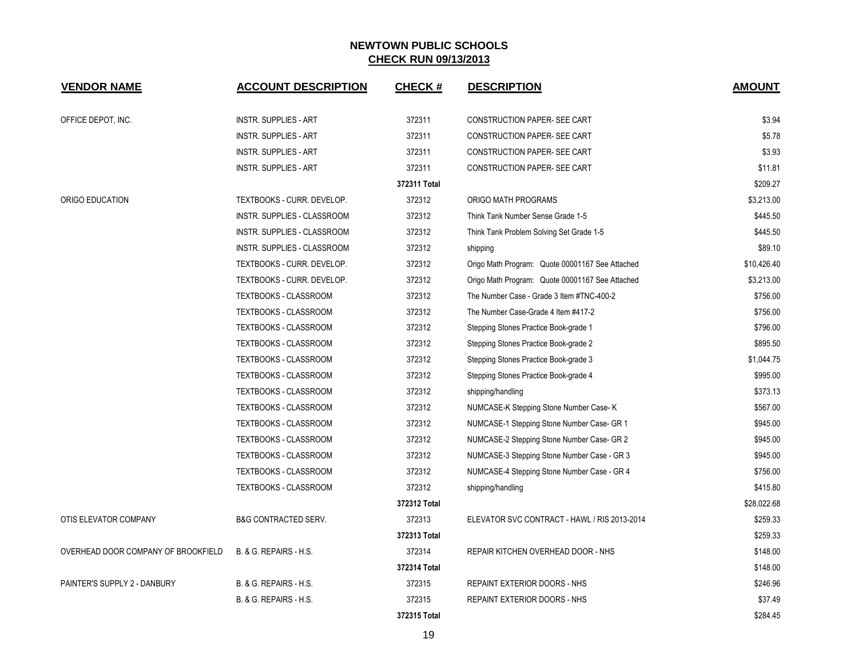| <b>VENDOR NAME</b>                  | <b>ACCOUNT DESCRIPTION</b>      | <b>CHECK#</b> | <b>DESCRIPTION</b>                              | <b>AMOUNT</b> |
|-------------------------------------|---------------------------------|---------------|-------------------------------------------------|---------------|
| OFFICE DEPOT, INC.                  | INSTR. SUPPLIES - ART           | 372311        | CONSTRUCTION PAPER- SEE CART                    | \$3.94        |
|                                     | <b>INSTR. SUPPLIES - ART</b>    | 372311        | CONSTRUCTION PAPER- SEE CART                    | \$5.78        |
|                                     | <b>INSTR. SUPPLIES - ART</b>    | 372311        | CONSTRUCTION PAPER- SEE CART                    | \$3.93        |
|                                     | <b>INSTR. SUPPLIES - ART</b>    | 372311        | CONSTRUCTION PAPER- SEE CART                    | \$11.81       |
|                                     |                                 | 372311 Total  |                                                 | \$209.27      |
| ORIGO EDUCATION                     | TEXTBOOKS - CURR. DEVELOP.      | 372312        | ORIGO MATH PROGRAMS                             | \$3,213.00    |
|                                     | INSTR. SUPPLIES - CLASSROOM     | 372312        | Think Tank Number Sense Grade 1-5               | \$445.50      |
|                                     | INSTR. SUPPLIES - CLASSROOM     | 372312        | Think Tank Problem Solving Set Grade 1-5        | \$445.50      |
|                                     | INSTR. SUPPLIES - CLASSROOM     | 372312        | shipping                                        | \$89.10       |
|                                     | TEXTBOOKS - CURR. DEVELOP.      | 372312        | Origo Math Program: Quote 00001167 See Attached | \$10,426.40   |
|                                     | TEXTBOOKS - CURR. DEVELOP.      | 372312        | Origo Math Program: Quote 00001167 See Attached | \$3,213.00    |
|                                     | <b>TEXTBOOKS - CLASSROOM</b>    | 372312        | The Number Case - Grade 3 Item #TNC-400-2       | \$756.00      |
|                                     | TEXTBOOKS - CLASSROOM           | 372312        | The Number Case-Grade 4 Item #417-2             | \$756.00      |
|                                     | TEXTBOOKS - CLASSROOM           | 372312        | Stepping Stones Practice Book-grade 1           | \$796.00      |
|                                     | TEXTBOOKS - CLASSROOM           | 372312        | Stepping Stones Practice Book-grade 2           | \$895.50      |
|                                     | TEXTBOOKS - CLASSROOM           | 372312        | Stepping Stones Practice Book-grade 3           | \$1,044.75    |
|                                     | TEXTBOOKS - CLASSROOM           | 372312        | Stepping Stones Practice Book-grade 4           | \$995.00      |
|                                     | TEXTBOOKS - CLASSROOM           | 372312        | shipping/handling                               | \$373.13      |
|                                     | TEXTBOOKS - CLASSROOM           | 372312        | NUMCASE-K Stepping Stone Number Case-K          | \$567.00      |
|                                     | TEXTBOOKS - CLASSROOM           | 372312        | NUMCASE-1 Stepping Stone Number Case- GR 1      | \$945.00      |
|                                     | <b>TEXTBOOKS - CLASSROOM</b>    | 372312        | NUMCASE-2 Stepping Stone Number Case- GR 2      | \$945.00      |
|                                     | TEXTBOOKS - CLASSROOM           | 372312        | NUMCASE-3 Stepping Stone Number Case - GR 3     | \$945.00      |
|                                     | TEXTBOOKS - CLASSROOM           | 372312        | NUMCASE-4 Stepping Stone Number Case - GR 4     | \$756.00      |
|                                     | TEXTBOOKS - CLASSROOM           | 372312        | shipping/handling                               | \$415.80      |
|                                     |                                 | 372312 Total  |                                                 | \$28,022.68   |
| OTIS ELEVATOR COMPANY               | <b>B&amp;G CONTRACTED SERV.</b> | 372313        | ELEVATOR SVC CONTRACT - HAWL / RIS 2013-2014    | \$259.33      |
|                                     |                                 | 372313 Total  |                                                 | \$259.33      |
| OVERHEAD DOOR COMPANY OF BROOKFIELD | B. & G. REPAIRS - H.S.          | 372314        | REPAIR KITCHEN OVERHEAD DOOR - NHS              | \$148.00      |
|                                     |                                 | 372314 Total  |                                                 | \$148.00      |
| PAINTER'S SUPPLY 2 - DANBURY        | B. & G. REPAIRS - H.S.          | 372315        | REPAINT EXTERIOR DOORS - NHS                    | \$246.96      |
|                                     | B. & G. REPAIRS - H.S.          | 372315        | REPAINT EXTERIOR DOORS - NHS                    | \$37.49       |
|                                     |                                 | 372315 Total  |                                                 | \$284.45      |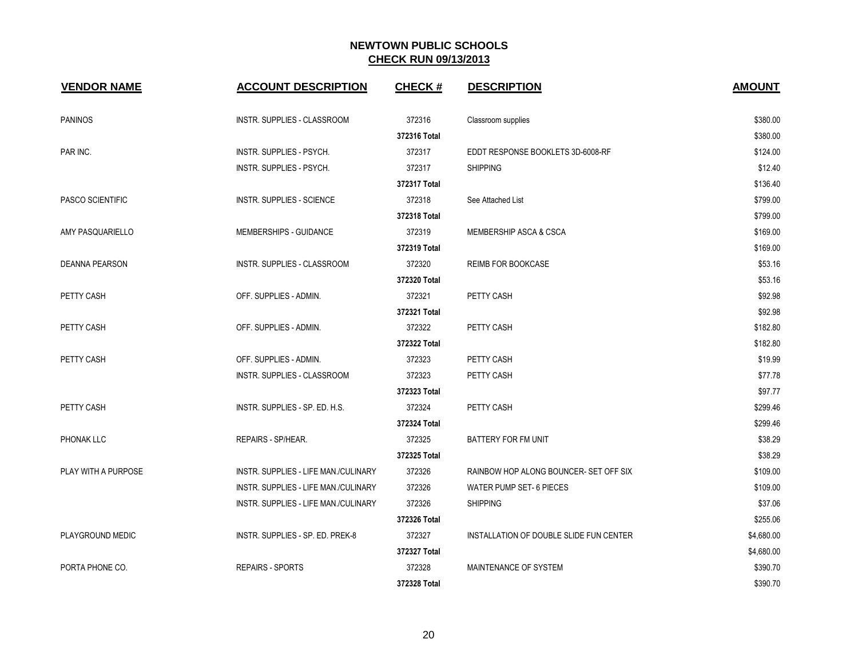| <b>VENDOR NAME</b>      | <b>ACCOUNT DESCRIPTION</b>           | <b>CHECK#</b> | <b>DESCRIPTION</b>                      | <b>AMOUNT</b> |
|-------------------------|--------------------------------------|---------------|-----------------------------------------|---------------|
| <b>PANINOS</b>          | INSTR. SUPPLIES - CLASSROOM          | 372316        | Classroom supplies                      | \$380.00      |
|                         |                                      | 372316 Total  |                                         | \$380.00      |
| PAR INC.                | INSTR. SUPPLIES - PSYCH.             | 372317        | EDDT RESPONSE BOOKLETS 3D-6008-RF       | \$124.00      |
|                         | INSTR. SUPPLIES - PSYCH.             | 372317        | <b>SHIPPING</b>                         | \$12.40       |
|                         |                                      | 372317 Total  |                                         | \$136.40      |
| <b>PASCO SCIENTIFIC</b> | <b>INSTR. SUPPLIES - SCIENCE</b>     | 372318        | See Attached List                       | \$799.00      |
|                         |                                      | 372318 Total  |                                         | \$799.00      |
| AMY PASQUARIELLO        | MEMBERSHIPS - GUIDANCE               | 372319        | MEMBERSHIP ASCA & CSCA                  | \$169.00      |
|                         |                                      | 372319 Total  |                                         | \$169.00      |
| DEANNA PEARSON          | INSTR. SUPPLIES - CLASSROOM          | 372320        | <b>REIMB FOR BOOKCASE</b>               | \$53.16       |
|                         |                                      | 372320 Total  |                                         | \$53.16       |
| PETTY CASH              | OFF. SUPPLIES - ADMIN.               | 372321        | PETTY CASH                              | \$92.98       |
|                         |                                      | 372321 Total  |                                         | \$92.98       |
| PETTY CASH              | OFF. SUPPLIES - ADMIN.               | 372322        | PETTY CASH                              | \$182.80      |
|                         |                                      | 372322 Total  |                                         | \$182.80      |
| PETTY CASH              | OFF. SUPPLIES - ADMIN.               | 372323        | PETTY CASH                              | \$19.99       |
|                         | INSTR. SUPPLIES - CLASSROOM          | 372323        | PETTY CASH                              | \$77.78       |
|                         |                                      | 372323 Total  |                                         | \$97.77       |
| PETTY CASH              | INSTR. SUPPLIES - SP. ED. H.S.       | 372324        | PETTY CASH                              | \$299.46      |
|                         |                                      | 372324 Total  |                                         | \$299.46      |
| <b>PHONAK LLC</b>       | REPAIRS - SP/HEAR.                   | 372325        | BATTERY FOR FM UNIT                     | \$38.29       |
|                         |                                      | 372325 Total  |                                         | \$38.29       |
| PLAY WITH A PURPOSE     | INSTR. SUPPLIES - LIFE MAN./CULINARY | 372326        | RAINBOW HOP ALONG BOUNCER- SET OFF SIX  | \$109.00      |
|                         | INSTR. SUPPLIES - LIFE MAN./CULINARY | 372326        | WATER PUMP SET- 6 PIECES                | \$109.00      |
|                         | INSTR. SUPPLIES - LIFE MAN./CULINARY | 372326        | <b>SHIPPING</b>                         | \$37.06       |
|                         |                                      | 372326 Total  |                                         | \$255.06      |
| PLAYGROUND MEDIC        | INSTR. SUPPLIES - SP. ED. PREK-8     | 372327        | INSTALLATION OF DOUBLE SLIDE FUN CENTER | \$4,680.00    |
|                         |                                      | 372327 Total  |                                         | \$4,680.00    |
| PORTA PHONE CO.         | <b>REPAIRS - SPORTS</b>              | 372328        | MAINTENANCE OF SYSTEM                   | \$390.70      |
|                         |                                      | 372328 Total  |                                         | \$390.70      |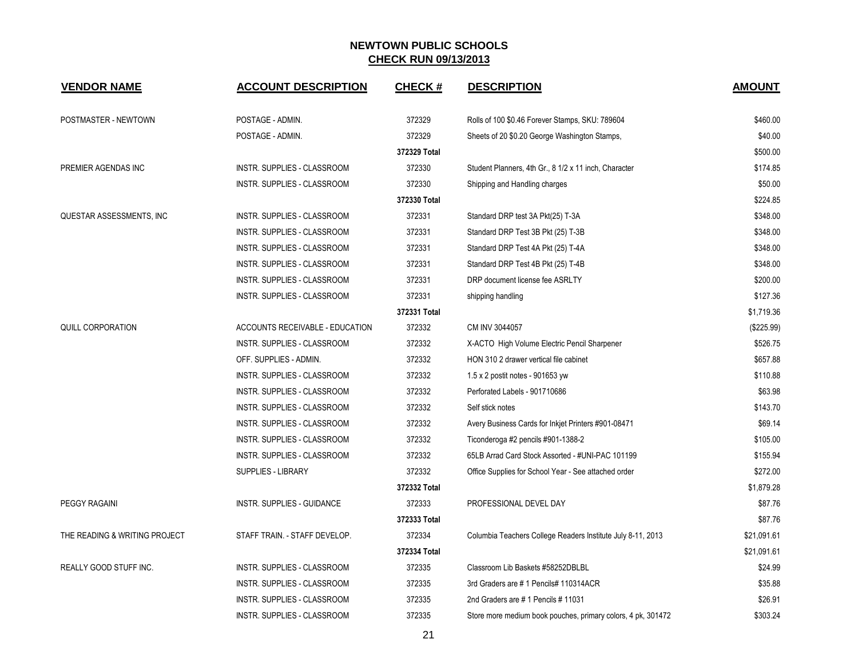| <b>VENDOR NAME</b>            | <b>ACCOUNT DESCRIPTION</b>         | <b>CHECK#</b> | <b>DESCRIPTION</b>                                           | <b>AMOUNT</b> |
|-------------------------------|------------------------------------|---------------|--------------------------------------------------------------|---------------|
| POSTMASTER - NEWTOWN          | POSTAGE - ADMIN.                   | 372329        | Rolls of 100 \$0.46 Forever Stamps, SKU: 789604              | \$460.00      |
|                               | POSTAGE - ADMIN.                   | 372329        | Sheets of 20 \$0.20 George Washington Stamps,                | \$40.00       |
|                               |                                    | 372329 Total  |                                                              | \$500.00      |
| PREMIER AGENDAS INC           | INSTR. SUPPLIES - CLASSROOM        | 372330        | Student Planners, 4th Gr., 8 1/2 x 11 inch, Character        | \$174.85      |
|                               | <b>INSTR. SUPPLIES - CLASSROOM</b> | 372330        | Shipping and Handling charges                                | \$50.00       |
|                               |                                    | 372330 Total  |                                                              | \$224.85      |
| QUESTAR ASSESSMENTS, INC      | INSTR. SUPPLIES - CLASSROOM        | 372331        | Standard DRP test 3A Pkt(25) T-3A                            | \$348.00      |
|                               | INSTR. SUPPLIES - CLASSROOM        | 372331        | Standard DRP Test 3B Pkt (25) T-3B                           | \$348.00      |
|                               | INSTR. SUPPLIES - CLASSROOM        | 372331        | Standard DRP Test 4A Pkt (25) T-4A                           | \$348.00      |
|                               | INSTR. SUPPLIES - CLASSROOM        | 372331        | Standard DRP Test 4B Pkt (25) T-4B                           | \$348.00      |
|                               | INSTR. SUPPLIES - CLASSROOM        | 372331        | DRP document license fee ASRLTY                              | \$200.00      |
|                               | INSTR. SUPPLIES - CLASSROOM        | 372331        | shipping handling                                            | \$127.36      |
|                               |                                    | 372331 Total  |                                                              | \$1,719.36    |
| QUILL CORPORATION             | ACCOUNTS RECEIVABLE - EDUCATION    | 372332        | CM INV 3044057                                               | (\$225.99)    |
|                               | INSTR. SUPPLIES - CLASSROOM        | 372332        | X-ACTO High Volume Electric Pencil Sharpener                 | \$526.75      |
|                               | OFF. SUPPLIES - ADMIN.             | 372332        | HON 310 2 drawer vertical file cabinet                       | \$657.88      |
|                               | INSTR. SUPPLIES - CLASSROOM        | 372332        | 1.5 x 2 postit notes - 901653 yw                             | \$110.88      |
|                               | INSTR. SUPPLIES - CLASSROOM        | 372332        | Perforated Labels - 901710686                                | \$63.98       |
|                               | INSTR. SUPPLIES - CLASSROOM        | 372332        | Self stick notes                                             | \$143.70      |
|                               | INSTR. SUPPLIES - CLASSROOM        | 372332        | Avery Business Cards for Inkjet Printers #901-08471          | \$69.14       |
|                               | <b>INSTR. SUPPLIES - CLASSROOM</b> | 372332        | Ticonderoga #2 pencils #901-1388-2                           | \$105.00      |
|                               | INSTR. SUPPLIES - CLASSROOM        | 372332        | 65LB Arrad Card Stock Assorted - #UNI-PAC 101199             | \$155.94      |
|                               | SUPPLIES - LIBRARY                 | 372332        | Office Supplies for School Year - See attached order         | \$272.00      |
|                               |                                    | 372332 Total  |                                                              | \$1,879.28    |
| PEGGY RAGAINI                 | INSTR. SUPPLIES - GUIDANCE         | 372333        | PROFESSIONAL DEVEL DAY                                       | \$87.76       |
|                               |                                    | 372333 Total  |                                                              | \$87.76       |
| THE READING & WRITING PROJECT | STAFF TRAIN. - STAFF DEVELOP.      | 372334        | Columbia Teachers College Readers Institute July 8-11, 2013  | \$21,091.61   |
|                               |                                    | 372334 Total  |                                                              | \$21,091.61   |
| REALLY GOOD STUFF INC.        | INSTR. SUPPLIES - CLASSROOM        | 372335        | Classroom Lib Baskets #58252DBLBL                            | \$24.99       |
|                               | INSTR. SUPPLIES - CLASSROOM        | 372335        | 3rd Graders are #1 Pencils# 110314ACR                        | \$35.88       |
|                               | <b>INSTR. SUPPLIES - CLASSROOM</b> | 372335        | 2nd Graders are #1 Pencils #11031                            | \$26.91       |
|                               | <b>INSTR. SUPPLIES - CLASSROOM</b> | 372335        | Store more medium book pouches, primary colors, 4 pk, 301472 | \$303.24      |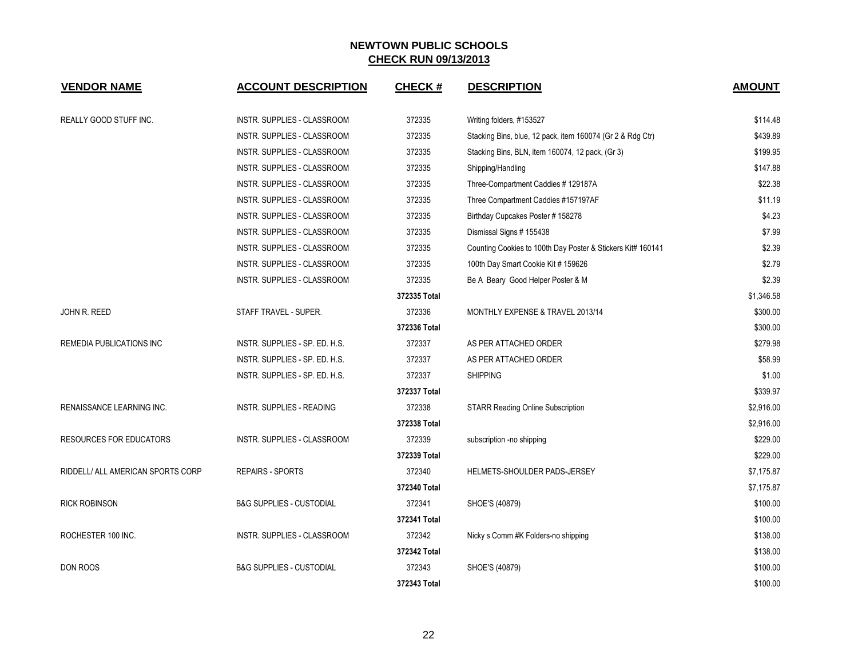| <b>VENDOR NAME</b>                | <b>ACCOUNT DESCRIPTION</b>          | <b>CHECK#</b> | <b>DESCRIPTION</b>                                          | <b>AMOUNT</b> |
|-----------------------------------|-------------------------------------|---------------|-------------------------------------------------------------|---------------|
| REALLY GOOD STUFF INC.            | INSTR. SUPPLIES - CLASSROOM         | 372335        | Writing folders, #153527                                    | \$114.48      |
|                                   | INSTR. SUPPLIES - CLASSROOM         | 372335        | Stacking Bins, blue, 12 pack, item 160074 (Gr 2 & Rdg Ctr)  | \$439.89      |
|                                   | INSTR. SUPPLIES - CLASSROOM         | 372335        | Stacking Bins, BLN, item 160074, 12 pack, (Gr 3)            | \$199.95      |
|                                   | INSTR. SUPPLIES - CLASSROOM         | 372335        | Shipping/Handling                                           | \$147.88      |
|                                   | INSTR. SUPPLIES - CLASSROOM         | 372335        | Three-Compartment Caddies #129187A                          | \$22.38       |
|                                   | INSTR. SUPPLIES - CLASSROOM         | 372335        | Three Compartment Caddies #157197AF                         | \$11.19       |
|                                   | INSTR. SUPPLIES - CLASSROOM         | 372335        | Birthday Cupcakes Poster # 158278                           | \$4.23        |
|                                   | INSTR. SUPPLIES - CLASSROOM         | 372335        | Dismissal Signs # 155438                                    | \$7.99        |
|                                   | INSTR. SUPPLIES - CLASSROOM         | 372335        | Counting Cookies to 100th Day Poster & Stickers Kit# 160141 | \$2.39        |
|                                   | INSTR. SUPPLIES - CLASSROOM         | 372335        | 100th Day Smart Cookie Kit # 159626                         | \$2.79        |
|                                   | INSTR. SUPPLIES - CLASSROOM         | 372335        | Be A Beary Good Helper Poster & M                           | \$2.39        |
|                                   |                                     | 372335 Total  |                                                             | \$1,346.58    |
| JOHN R. REED                      | STAFF TRAVEL - SUPER.               | 372336        | MONTHLY EXPENSE & TRAVEL 2013/14                            | \$300.00      |
|                                   |                                     | 372336 Total  |                                                             | \$300.00      |
| REMEDIA PUBLICATIONS INC          | INSTR. SUPPLIES - SP. ED. H.S.      | 372337        | AS PER ATTACHED ORDER                                       | \$279.98      |
|                                   | INSTR. SUPPLIES - SP. ED. H.S.      | 372337        | AS PER ATTACHED ORDER                                       | \$58.99       |
|                                   | INSTR. SUPPLIES - SP. ED. H.S.      | 372337        | <b>SHIPPING</b>                                             | \$1.00        |
|                                   |                                     | 372337 Total  |                                                             | \$339.97      |
| RENAISSANCE LEARNING INC.         | INSTR. SUPPLIES - READING           | 372338        | <b>STARR Reading Online Subscription</b>                    | \$2,916.00    |
|                                   |                                     | 372338 Total  |                                                             | \$2,916.00    |
| <b>RESOURCES FOR EDUCATORS</b>    | INSTR. SUPPLIES - CLASSROOM         | 372339        | subscription -no shipping                                   | \$229.00      |
|                                   |                                     | 372339 Total  |                                                             | \$229.00      |
| RIDDELL/ ALL AMERICAN SPORTS CORP | <b>REPAIRS - SPORTS</b>             | 372340        | HELMETS-SHOULDER PADS-JERSEY                                | \$7,175.87    |
|                                   |                                     | 372340 Total  |                                                             | \$7,175.87    |
| <b>RICK ROBINSON</b>              | <b>B&amp;G SUPPLIES - CUSTODIAL</b> | 372341        | SHOE'S (40879)                                              | \$100.00      |
|                                   |                                     | 372341 Total  |                                                             | \$100.00      |
| ROCHESTER 100 INC.                | INSTR. SUPPLIES - CLASSROOM         | 372342        | Nicky s Comm #K Folders-no shipping                         | \$138.00      |
|                                   |                                     | 372342 Total  |                                                             | \$138.00      |
| DON ROOS                          | <b>B&amp;G SUPPLIES - CUSTODIAL</b> | 372343        | SHOE'S (40879)                                              | \$100.00      |
|                                   |                                     | 372343 Total  |                                                             | \$100.00      |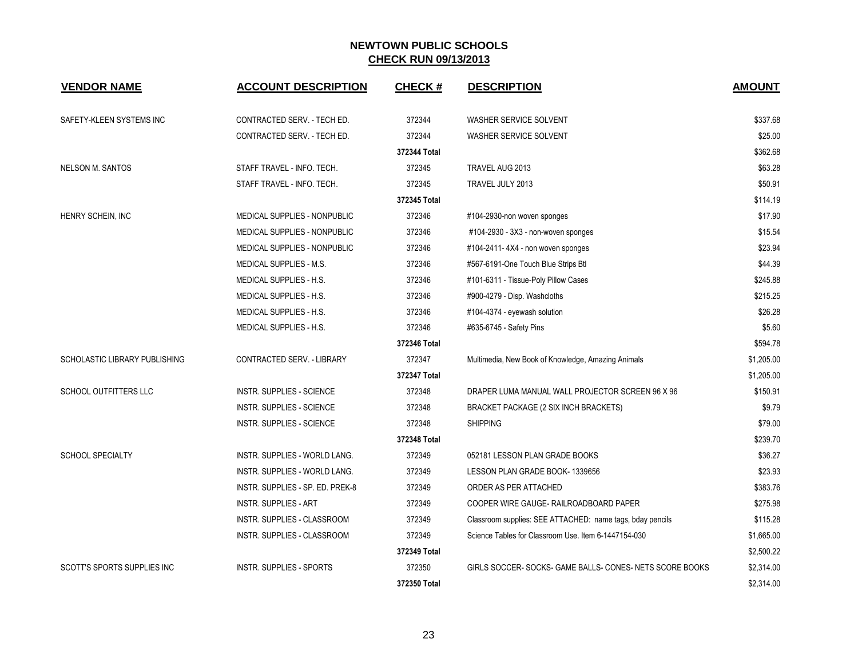| <b>VENDOR NAME</b>            | <b>ACCOUNT DESCRIPTION</b>           | <b>CHECK#</b> | <b>DESCRIPTION</b>                                        | <b>AMOUNT</b> |
|-------------------------------|--------------------------------------|---------------|-----------------------------------------------------------|---------------|
| SAFETY-KLEEN SYSTEMS INC      | CONTRACTED SERV. - TECH ED.          | 372344        | WASHER SERVICE SOLVENT                                    | \$337.68      |
|                               | CONTRACTED SERV. - TECH ED.          | 372344        | WASHER SERVICE SOLVENT                                    | \$25.00       |
|                               |                                      | 372344 Total  |                                                           | \$362.68      |
| <b>NELSON M. SANTOS</b>       | STAFF TRAVEL - INFO. TECH.           | 372345        | TRAVEL AUG 2013                                           | \$63.28       |
|                               | STAFF TRAVEL - INFO. TECH.           | 372345        | TRAVEL JULY 2013                                          | \$50.91       |
|                               |                                      | 372345 Total  |                                                           | \$114.19      |
| HENRY SCHEIN, INC             | MEDICAL SUPPLIES - NONPUBLIC         | 372346        | #104-2930-non woven sponges                               | \$17.90       |
|                               | MEDICAL SUPPLIES - NONPUBLIC         | 372346        | #104-2930 - 3X3 - non-woven sponges                       | \$15.54       |
|                               | MEDICAL SUPPLIES - NONPUBLIC         | 372346        | #104-2411-4X4 - non woven sponges                         | \$23.94       |
|                               | MEDICAL SUPPLIES - M.S.              | 372346        | #567-6191-One Touch Blue Strips Btl                       | \$44.39       |
|                               | MEDICAL SUPPLIES - H.S.              | 372346        | #101-6311 - Tissue-Poly Pillow Cases                      | \$245.88      |
|                               | <b>MEDICAL SUPPLIES - H.S.</b>       | 372346        | #900-4279 - Disp. Washcloths                              | \$215.25      |
|                               | MEDICAL SUPPLIES - H.S.              | 372346        | #104-4374 - eyewash solution                              | \$26.28       |
|                               | MEDICAL SUPPLIES - H.S.              | 372346        | #635-6745 - Safety Pins                                   | \$5.60        |
|                               |                                      | 372346 Total  |                                                           | \$594.78      |
| SCHOLASTIC LIBRARY PUBLISHING | CONTRACTED SERV. - LIBRARY           | 372347        | Multimedia, New Book of Knowledge, Amazing Animals        | \$1,205.00    |
|                               |                                      | 372347 Total  |                                                           | \$1,205.00    |
| SCHOOL OUTFITTERS LLC         | INSTR. SUPPLIES - SCIENCE            | 372348        | DRAPER LUMA MANUAL WALL PROJECTOR SCREEN 96 X 96          | \$150.91      |
|                               | <b>INSTR. SUPPLIES - SCIENCE</b>     | 372348        | BRACKET PACKAGE (2 SIX INCH BRACKETS)                     | \$9.79        |
|                               | <b>INSTR. SUPPLIES - SCIENCE</b>     | 372348        | <b>SHIPPING</b>                                           | \$79.00       |
|                               |                                      | 372348 Total  |                                                           | \$239.70      |
| <b>SCHOOL SPECIALTY</b>       | <b>INSTR. SUPPLIES - WORLD LANG.</b> | 372349        | 052181 LESSON PLAN GRADE BOOKS                            | \$36.27       |
|                               | INSTR. SUPPLIES - WORLD LANG.        | 372349        | LESSON PLAN GRADE BOOK-1339656                            | \$23.93       |
|                               | INSTR. SUPPLIES - SP. ED. PREK-8     | 372349        | ORDER AS PER ATTACHED                                     | \$383.76      |
|                               | <b>INSTR. SUPPLIES - ART</b>         | 372349        | COOPER WIRE GAUGE- RAILROADBOARD PAPER                    | \$275.98      |
|                               | INSTR. SUPPLIES - CLASSROOM          | 372349        | Classroom supplies: SEE ATTACHED: name tags, bday pencils | \$115.28      |
|                               | INSTR. SUPPLIES - CLASSROOM          | 372349        | Science Tables for Classroom Use, Item 6-1447154-030      | \$1,665.00    |
|                               |                                      | 372349 Total  |                                                           | \$2,500.22    |
| SCOTT'S SPORTS SUPPLIES INC   | INSTR. SUPPLIES - SPORTS             | 372350        | GIRLS SOCCER-SOCKS-GAME BALLS-CONES-NETS SCORE BOOKS      | \$2,314.00    |
|                               |                                      | 372350 Total  |                                                           | \$2,314.00    |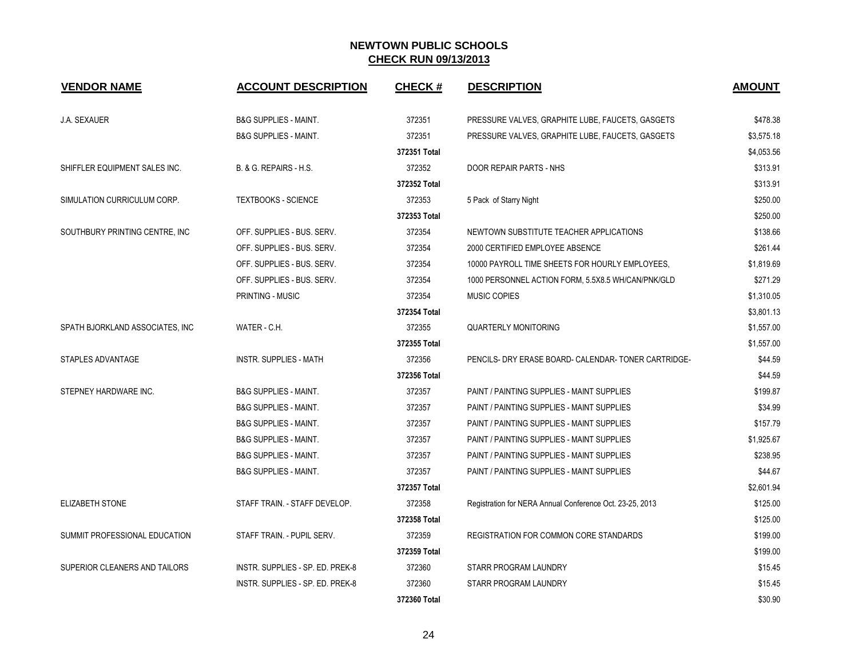| <b>VENDOR NAME</b>              | <b>ACCOUNT DESCRIPTION</b>       | <b>CHECK#</b> | <b>DESCRIPTION</b>                                       | <b>AMOUNT</b> |
|---------------------------------|----------------------------------|---------------|----------------------------------------------------------|---------------|
| <b>J.A. SEXAUER</b>             | <b>B&amp;G SUPPLIES - MAINT.</b> | 372351        | PRESSURE VALVES, GRAPHITE LUBE, FAUCETS, GASGETS         | \$478.38      |
|                                 | <b>B&amp;G SUPPLIES - MAINT.</b> | 372351        | PRESSURE VALVES, GRAPHITE LUBE, FAUCETS, GASGETS         | \$3,575.18    |
|                                 |                                  | 372351 Total  |                                                          | \$4,053.56    |
| SHIFFLER EQUIPMENT SALES INC.   | B. & G. REPAIRS - H.S.           | 372352        | <b>DOOR REPAIR PARTS - NHS</b>                           | \$313.91      |
|                                 |                                  | 372352 Total  |                                                          | \$313.91      |
| SIMULATION CURRICULUM CORP.     | <b>TEXTBOOKS - SCIENCE</b>       | 372353        | 5 Pack of Starry Night                                   | \$250.00      |
|                                 |                                  | 372353 Total  |                                                          | \$250.00      |
| SOUTHBURY PRINTING CENTRE, INC. | OFF. SUPPLIES - BUS. SERV.       | 372354        | NEWTOWN SUBSTITUTE TEACHER APPLICATIONS                  | \$138.66      |
|                                 | OFF. SUPPLIES - BUS. SERV.       | 372354        | 2000 CERTIFIED EMPLOYEE ABSENCE                          | \$261.44      |
|                                 | OFF. SUPPLIES - BUS. SERV.       | 372354        | 10000 PAYROLL TIME SHEETS FOR HOURLY EMPLOYEES.          | \$1,819.69    |
|                                 | OFF. SUPPLIES - BUS. SERV.       | 372354        | 1000 PERSONNEL ACTION FORM, 5.5X8.5 WH/CAN/PNK/GLD       | \$271.29      |
|                                 | <b>PRINTING - MUSIC</b>          | 372354        | <b>MUSIC COPIES</b>                                      | \$1,310.05    |
|                                 |                                  | 372354 Total  |                                                          | \$3,801.13    |
| SPATH BJORKLAND ASSOCIATES, INC | WATER - C.H.                     | 372355        | <b>QUARTERLY MONITORING</b>                              | \$1,557.00    |
|                                 |                                  | 372355 Total  |                                                          | \$1,557.00    |
| STAPLES ADVANTAGE               | <b>INSTR. SUPPLIES - MATH</b>    | 372356        | PENCILS- DRY ERASE BOARD- CALENDAR- TONER CARTRIDGE-     | \$44.59       |
|                                 |                                  | 372356 Total  |                                                          | \$44.59       |
| STEPNEY HARDWARE INC.           | <b>B&amp;G SUPPLIES - MAINT.</b> | 372357        | PAINT / PAINTING SUPPLIES - MAINT SUPPLIES               | \$199.87      |
|                                 | <b>B&amp;G SUPPLIES - MAINT.</b> | 372357        | PAINT / PAINTING SUPPLIES - MAINT SUPPLIES               | \$34.99       |
|                                 | <b>B&amp;G SUPPLIES - MAINT.</b> | 372357        | PAINT / PAINTING SUPPLIES - MAINT SUPPLIES               | \$157.79      |
|                                 | <b>B&amp;G SUPPLIES - MAINT.</b> | 372357        | PAINT / PAINTING SUPPLIES - MAINT SUPPLIES               | \$1,925.67    |
|                                 | <b>B&amp;G SUPPLIES - MAINT.</b> | 372357        | PAINT / PAINTING SUPPLIES - MAINT SUPPLIES               | \$238.95      |
|                                 | <b>B&amp;G SUPPLIES - MAINT.</b> | 372357        | PAINT / PAINTING SUPPLIES - MAINT SUPPLIES               | \$44.67       |
|                                 |                                  | 372357 Total  |                                                          | \$2,601.94    |
| <b>ELIZABETH STONE</b>          | STAFF TRAIN. - STAFF DEVELOP.    | 372358        | Registration for NERA Annual Conference Oct. 23-25, 2013 | \$125.00      |
|                                 |                                  | 372358 Total  |                                                          | \$125.00      |
| SUMMIT PROFESSIONAL EDUCATION   | STAFF TRAIN. - PUPIL SERV.       | 372359        | REGISTRATION FOR COMMON CORE STANDARDS                   | \$199.00      |
|                                 |                                  | 372359 Total  |                                                          | \$199.00      |
| SUPERIOR CLEANERS AND TAILORS   | INSTR. SUPPLIES - SP. ED. PREK-8 | 372360        | STARR PROGRAM LAUNDRY                                    | \$15.45       |
|                                 | INSTR. SUPPLIES - SP. ED. PREK-8 | 372360        | STARR PROGRAM LAUNDRY                                    | \$15.45       |
|                                 |                                  | 372360 Total  |                                                          | \$30.90       |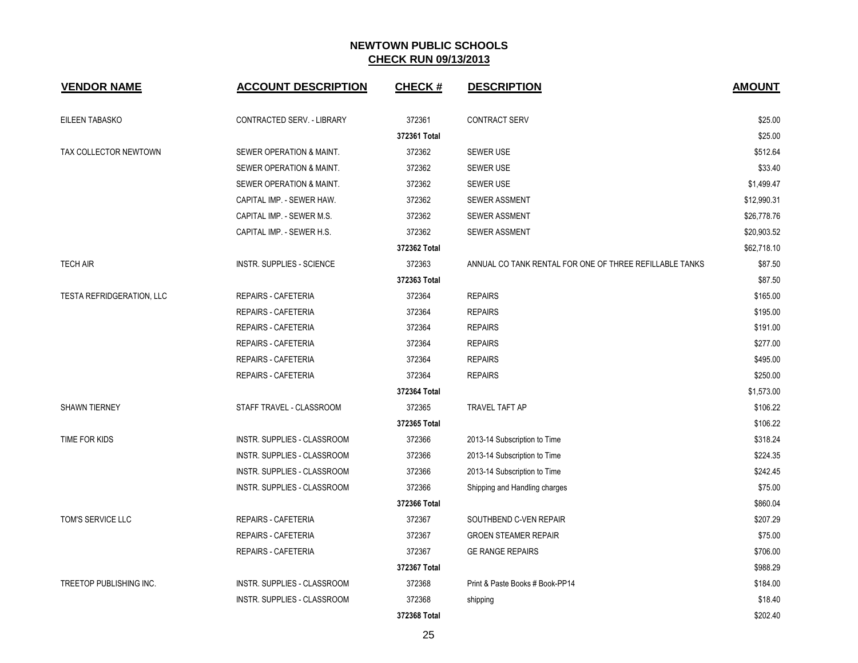| <b>VENDOR NAME</b>             | <b>ACCOUNT DESCRIPTION</b>       | <b>CHECK#</b> | <b>DESCRIPTION</b>                                      | <b>AMOUNT</b> |
|--------------------------------|----------------------------------|---------------|---------------------------------------------------------|---------------|
| EILEEN TABASKO                 | CONTRACTED SERV. - LIBRARY       | 372361        | <b>CONTRACT SERV</b>                                    | \$25.00       |
|                                |                                  | 372361 Total  |                                                         | \$25.00       |
| TAX COLLECTOR NEWTOWN          | SEWER OPERATION & MAINT.         | 372362        | <b>SEWER USE</b>                                        | \$512.64      |
|                                | SEWER OPERATION & MAINT.         | 372362        | <b>SEWER USE</b>                                        | \$33.40       |
|                                | SEWER OPERATION & MAINT.         | 372362        | <b>SEWER USE</b>                                        | \$1,499.47    |
|                                | CAPITAL IMP. - SEWER HAW.        | 372362        | <b>SEWER ASSMENT</b>                                    | \$12,990.31   |
|                                | CAPITAL IMP. - SEWER M.S.        | 372362        | <b>SEWER ASSMENT</b>                                    | \$26,778.76   |
|                                | CAPITAL IMP. - SEWER H.S.        | 372362        | <b>SEWER ASSMENT</b>                                    | \$20,903.52   |
|                                |                                  | 372362 Total  |                                                         | \$62,718.10   |
| <b>TECH AIR</b>                | <b>INSTR. SUPPLIES - SCIENCE</b> | 372363        | ANNUAL CO TANK RENTAL FOR ONE OF THREE REFILLABLE TANKS | \$87.50       |
|                                |                                  | 372363 Total  |                                                         | \$87.50       |
| TESTA REFRIDGERATION, LLC      | REPAIRS - CAFETERIA              | 372364        | <b>REPAIRS</b>                                          | \$165.00      |
|                                | <b>REPAIRS - CAFETERIA</b>       | 372364        | <b>REPAIRS</b>                                          | \$195.00      |
|                                | REPAIRS - CAFETERIA              | 372364        | <b>REPAIRS</b>                                          | \$191.00      |
|                                | REPAIRS - CAFETERIA              | 372364        | <b>REPAIRS</b>                                          | \$277.00      |
|                                | REPAIRS - CAFETERIA              | 372364        | <b>REPAIRS</b>                                          | \$495.00      |
|                                | REPAIRS - CAFETERIA              | 372364        | <b>REPAIRS</b>                                          | \$250.00      |
|                                |                                  | 372364 Total  |                                                         | \$1,573.00    |
| SHAWN TIERNEY                  | STAFF TRAVEL - CLASSROOM         | 372365        | TRAVEL TAFT AP                                          | \$106.22      |
|                                |                                  | 372365 Total  |                                                         | \$106.22      |
| TIME FOR KIDS                  | INSTR. SUPPLIES - CLASSROOM      | 372366        | 2013-14 Subscription to Time                            | \$318.24      |
|                                | INSTR. SUPPLIES - CLASSROOM      | 372366        | 2013-14 Subscription to Time                            | \$224.35      |
|                                | INSTR. SUPPLIES - CLASSROOM      | 372366        | 2013-14 Subscription to Time                            | \$242.45      |
|                                | INSTR. SUPPLIES - CLASSROOM      | 372366        | Shipping and Handling charges                           | \$75.00       |
|                                |                                  | 372366 Total  |                                                         | \$860.04      |
| TOM'S SERVICE LLC              | <b>REPAIRS - CAFETERIA</b>       | 372367        | SOUTHBEND C-VEN REPAIR                                  | \$207.29      |
|                                | REPAIRS - CAFETERIA              | 372367        | <b>GROEN STEAMER REPAIR</b>                             | \$75.00       |
|                                | REPAIRS - CAFETERIA              | 372367        | <b>GE RANGE REPAIRS</b>                                 | \$706.00      |
|                                |                                  | 372367 Total  |                                                         | \$988.29      |
| <b>TREETOP PUBLISHING INC.</b> | INSTR. SUPPLIES - CLASSROOM      | 372368        | Print & Paste Books # Book-PP14                         | \$184.00      |
|                                | INSTR. SUPPLIES - CLASSROOM      | 372368        | shipping                                                | \$18.40       |
|                                |                                  | 372368 Total  |                                                         | \$202.40      |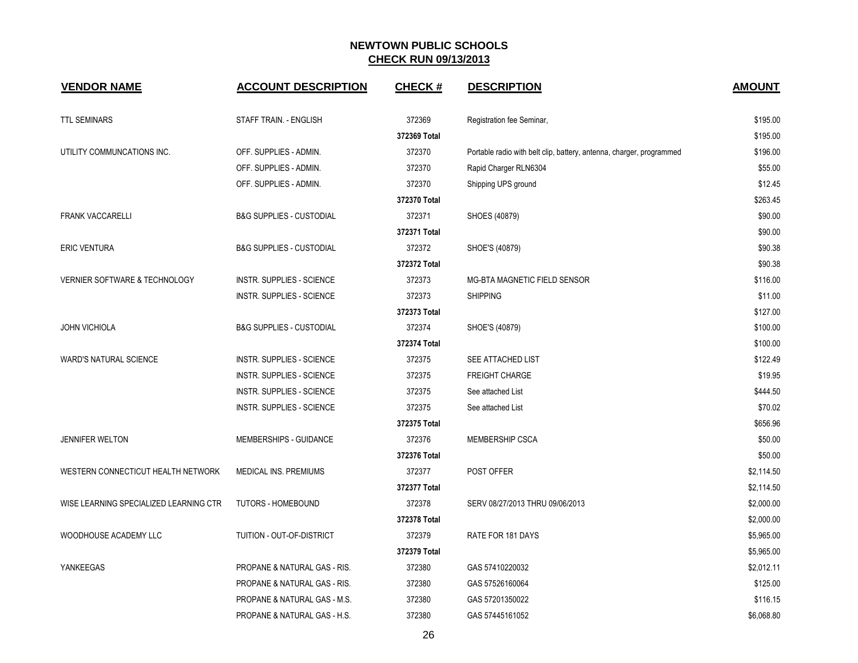| <b>VENDOR NAME</b>                       | <b>ACCOUNT DESCRIPTION</b>          | <b>CHECK#</b> | <b>DESCRIPTION</b>                                                   | <b>AMOUNT</b> |
|------------------------------------------|-------------------------------------|---------------|----------------------------------------------------------------------|---------------|
| <b>TTL SEMINARS</b>                      | STAFF TRAIN. - ENGLISH              | 372369        | Registration fee Seminar,                                            | \$195.00      |
|                                          |                                     | 372369 Total  |                                                                      | \$195.00      |
| UTILITY COMMUNCATIONS INC.               | OFF. SUPPLIES - ADMIN.              | 372370        | Portable radio with belt clip, battery, antenna, charger, programmed | \$196.00      |
|                                          | OFF. SUPPLIES - ADMIN.              | 372370        | Rapid Charger RLN6304                                                | \$55.00       |
|                                          | OFF. SUPPLIES - ADMIN.              | 372370        | Shipping UPS ground                                                  | \$12.45       |
|                                          |                                     | 372370 Total  |                                                                      | \$263.45      |
| <b>FRANK VACCARELLI</b>                  | <b>B&amp;G SUPPLIES - CUSTODIAL</b> | 372371        | SHOES (40879)                                                        | \$90.00       |
|                                          |                                     | 372371 Total  |                                                                      | \$90.00       |
| <b>ERIC VENTURA</b>                      | <b>B&amp;G SUPPLIES - CUSTODIAL</b> | 372372        | SHOE'S (40879)                                                       | \$90.38       |
|                                          |                                     | 372372 Total  |                                                                      | \$90.38       |
| <b>VERNIER SOFTWARE &amp; TECHNOLOGY</b> | <b>INSTR. SUPPLIES - SCIENCE</b>    | 372373        | MG-BTA MAGNETIC FIELD SENSOR                                         | \$116.00      |
|                                          | INSTR. SUPPLIES - SCIENCE           | 372373        | <b>SHIPPING</b>                                                      | \$11.00       |
|                                          |                                     | 372373 Total  |                                                                      | \$127.00      |
| <b>JOHN VICHIOLA</b>                     | <b>B&amp;G SUPPLIES - CUSTODIAL</b> | 372374        | SHOE'S (40879)                                                       | \$100.00      |
|                                          |                                     | 372374 Total  |                                                                      | \$100.00      |
| <b>WARD'S NATURAL SCIENCE</b>            | INSTR. SUPPLIES - SCIENCE           | 372375        | SEE ATTACHED LIST                                                    | \$122.49      |
|                                          | INSTR. SUPPLIES - SCIENCE           | 372375        | <b>FREIGHT CHARGE</b>                                                | \$19.95       |
|                                          | <b>INSTR. SUPPLIES - SCIENCE</b>    | 372375        | See attached List                                                    | \$444.50      |
|                                          | INSTR. SUPPLIES - SCIENCE           | 372375        | See attached List                                                    | \$70.02       |
|                                          |                                     | 372375 Total  |                                                                      | \$656.96      |
| <b>JENNIFER WELTON</b>                   | MEMBERSHIPS - GUIDANCE              | 372376        | MEMBERSHIP CSCA                                                      | \$50.00       |
|                                          |                                     | 372376 Total  |                                                                      | \$50.00       |
| WESTERN CONNECTICUT HEALTH NETWORK       | MEDICAL INS. PREMIUMS               | 372377        | POST OFFER                                                           | \$2,114.50    |
|                                          |                                     | 372377 Total  |                                                                      | \$2,114.50    |
| WISE LEARNING SPECIALIZED LEARNING CTR   | <b>TUTORS - HOMEBOUND</b>           | 372378        | SERV 08/27/2013 THRU 09/06/2013                                      | \$2,000.00    |
|                                          |                                     | 372378 Total  |                                                                      | \$2,000.00    |
| WOODHOUSE ACADEMY LLC                    | TUITION - OUT-OF-DISTRICT           | 372379        | RATE FOR 181 DAYS                                                    | \$5,965.00    |
|                                          |                                     | 372379 Total  |                                                                      | \$5,965.00    |
| YANKEEGAS                                | PROPANE & NATURAL GAS - RIS.        | 372380        | GAS 57410220032                                                      | \$2,012.11    |
|                                          | PROPANE & NATURAL GAS - RIS.        | 372380        | GAS 57526160064                                                      | \$125.00      |
|                                          | PROPANE & NATURAL GAS - M.S.        | 372380        | GAS 57201350022                                                      | \$116.15      |
|                                          | PROPANE & NATURAL GAS - H.S.        | 372380        | GAS 57445161052                                                      | \$6,068.80    |